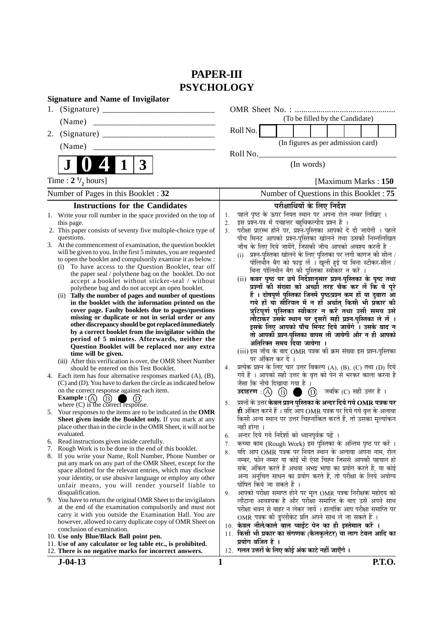# **PAPER-III PSYCHOLOGY**

|    | <b>Signature and Name of Invigilator</b>                                                                                      |                                         |                                                                                                                             |  |  |  |
|----|-------------------------------------------------------------------------------------------------------------------------------|-----------------------------------------|-----------------------------------------------------------------------------------------------------------------------------|--|--|--|
| 1. |                                                                                                                               |                                         |                                                                                                                             |  |  |  |
|    | (Name)<br>________________________________                                                                                    |                                         | (To be filled by the Candidate)                                                                                             |  |  |  |
| 2. |                                                                                                                               |                                         | Roll No.                                                                                                                    |  |  |  |
|    | (Name)                                                                                                                        |                                         | (In figures as per admission card)                                                                                          |  |  |  |
|    |                                                                                                                               |                                         | Roll No.                                                                                                                    |  |  |  |
|    | 3<br>$\mathbf 1$                                                                                                              |                                         | (In words)                                                                                                                  |  |  |  |
|    | Time : $2 \frac{1}{2}$ hours]                                                                                                 |                                         | [Maximum Marks: 150]                                                                                                        |  |  |  |
|    | Number of Pages in this Booklet: 32                                                                                           | Number of Questions in this Booklet: 75 |                                                                                                                             |  |  |  |
|    | <b>Instructions for the Candidates</b>                                                                                        |                                         | परीक्षार्थियों के लिए निर्देश                                                                                               |  |  |  |
|    | 1. Write your roll number in the space provided on the top of                                                                 | 1.                                      | पहले पृष्ठ के ऊपर नियत स्थान पर अपना रोल नम्बर लिखिए ।                                                                      |  |  |  |
|    | this page.<br>2. This paper consists of seventy five multiple-choice type of                                                  | 2.<br>3 <sub>1</sub>                    | इस प्रश्न-पत्र में पचहत्तर बहुविकल्पीय प्रश्न हैं ।<br>परीक्षा प्रारम्भ होने पर, प्रश्न-पुस्तिका आपको दे दी जायेगी । पहले   |  |  |  |
|    | questions.                                                                                                                    |                                         | पाँच मिनट आपको प्रश्न-पुस्तिका खोलने तथा उसकी निम्नलिखित                                                                    |  |  |  |
|    | 3. At the commencement of examination, the question booklet                                                                   |                                         | जाँच के लिए दिये जायेंगे, जिसकी जाँच आपको अवश्य करनी है :                                                                   |  |  |  |
|    | will be given to you. In the first 5 minutes, you are requested                                                               |                                         | प्रश्न-पुस्तिका खोलने के लिए पुस्तिका पर लगी कागज की सील /<br>(i)                                                           |  |  |  |
|    | to open the booklet and compulsorily examine it as below :<br>To have access to the Question Booklet, tear off<br>(i)         |                                         | पोलिर्थीन बैग को फाड़ लें । खुली हुई या बिना स्टीकर-सील /                                                                   |  |  |  |
|    | the paper seal / polythene bag on the booklet. Do not                                                                         |                                         | बिना पोलिथीन बैग की पुस्तिका स्वीकार न करें ।                                                                               |  |  |  |
|    | accept a booklet without sticker-seal / without                                                                               |                                         | (ii) कवर पृष्ठ पर छपे निर्देशानुसार प्रश्न-पुस्तिका के पृष्ठ तथा<br>प्रश्नों की संख्या को अच्छी तरह चैक कर लें कि ये पूरे   |  |  |  |
|    | polythene bag and do not accept an open booklet.<br>Tally the number of pages and number of questions<br>(ii)                 |                                         | हैं । दोषपूर्ण पुस्तिका जिनमें पृष्ठ⁄प्रश्न कम हों या दुबारा आ                                                              |  |  |  |
|    | in the booklet with the information printed on the                                                                            |                                         | गये हों या सीरियल में न हों अर्थात् किसी भी प्रकार की                                                                       |  |  |  |
|    | cover page. Faulty booklets due to pages/questions                                                                            |                                         | त्रुटिपूर्ण पुस्तिका स्वीकार न करें तथा उसी समय उसे                                                                         |  |  |  |
|    | missing or duplicate or not in serial order or any<br>other discrepancy should be got replaced immediately                    |                                         | लौटाकर उसके स्थान पर दूसरी सही प्रश्न-पुस्तिका ले लें ।                                                                     |  |  |  |
|    | by a correct booklet from the invigilator within the                                                                          |                                         | इसके लिए आपको पाँच मिनट दिये जायेंगे । उसके बाद न<br>तो आपकी प्रश्न-पुस्तिका वापस ली जायेगी और न ही आपको                    |  |  |  |
|    | period of 5 minutes. Afterwards, neither the                                                                                  |                                         | अतिरिक्त समय दिया जायेगा ।                                                                                                  |  |  |  |
|    | Question Booklet will be replaced nor any extra<br>time will be given.                                                        |                                         | (iii) इस जाँच के बाद OMR पत्रक की क्रम संख्या इस प्रश्न-पुस्तिका                                                            |  |  |  |
|    | (iii) After this verification is over, the OMR Sheet Number                                                                   |                                         | पर अंकित कर दें ।                                                                                                           |  |  |  |
|    | should be entered on this Test Booklet.                                                                                       | 4.                                      | प्रत्येक प्रश्न के लिए चार उत्तर विकल्प (A), (B), (C) तथा (D) दिये                                                          |  |  |  |
|    | 4. Each item has four alternative responses marked (A), (B),<br>(C) and (D). You have to darken the circle as indicated below |                                         | गये हैं । आपको सही उत्तर के वृत्त को पेन से भरकर काला करना है<br>जैसा कि नीचे दिखाया गया है ।                               |  |  |  |
|    | on the correct response against each item.                                                                                    |                                         | उदाहरण: (A) (B) (D) जबकि (C) सही उत्तर है।                                                                                  |  |  |  |
|    | Example : $(A)$<br>(B)                                                                                                        | 5.                                      | प्रश्नों के उत्तर <mark>केवल प्रश्न पुस्तिका के अन्दर दिये गये OMR पत्रक पर</mark>                                          |  |  |  |
|    | where (C) is the correct response.<br>5. Your responses to the items are to be indicated in the OMR                           |                                         | ही अंकित करने हैं । यदि आप OMR पत्रक पर दिये गये वृत्त के अलावा                                                             |  |  |  |
|    | Sheet given inside the Booklet only. If you mark at any                                                                       |                                         | किसी अन्य स्थान पर उत्तर चिह्नांकित करते हैं, तो उसका मूल्यांकन                                                             |  |  |  |
|    | place other than in the circle in the OMR Sheet, it will not be                                                               |                                         | नहीं होगा ।                                                                                                                 |  |  |  |
|    | evaluated.                                                                                                                    | 6.                                      | अन्दर दिये गये निर्देशों को ध्यानपूर्वक पढ़ें ।                                                                             |  |  |  |
|    | 6. Read instructions given inside carefully.<br>7. Rough Work is to be done in the end of this booklet.                       | 7.                                      | कच्चा काम (Rough Work) इस पुस्तिका के अन्तिम पृष्ठ पर करें ।                                                                |  |  |  |
|    | 8. If you write your Name, Roll Number, Phone Number or                                                                       | 8.                                      | यदि आप OMR पत्रक पर नियत स्थान के अलावा अपना नाम, रोल<br>नम्बर, फोन नम्बर या कोई भी ऐसा चिह्न जिससे आपकी पहचान हो           |  |  |  |
|    | put any mark on any part of the OMR Sheet, except for the<br>space allotted for the relevant entries, which may disclose      |                                         | सके, अंकित करते हैं अथवा अभद्र भाषा का प्रयोग करते हैं, या कोई                                                              |  |  |  |
|    | your identity, or use abusive language or employ any other                                                                    |                                         | अन्य अनुचित साधन का प्रयोग करते हैं, तो परीक्षा के लिये अयोग्य                                                              |  |  |  |
|    | unfair means, you will render yourself liable to                                                                              |                                         | घोषित किये जा सकते हैं ।                                                                                                    |  |  |  |
|    | disqualification.                                                                                                             | 9.                                      | आपको परीक्षा समाप्त होने पर मूल OMR पत्रक निरीक्षक महोदय को                                                                 |  |  |  |
|    | 9. You have to return the original OMR Sheet to the invigilators<br>at the end of the examination compulsorily and must not   |                                         | लौटाना आवश्यक है और परीक्षा समाप्ति के बाद उसे अपने साथ<br>परीक्षा भवन से बाहर न लेकर जायें । हालांकि आप परीक्षा समाप्ति पर |  |  |  |
|    | carry it with you outside the Examination Hall. You are                                                                       |                                         | OMR पत्रक की इप्लीकेट प्रति अपने साथ ले जा सकते हैं ।                                                                       |  |  |  |
|    | however, allowed to carry duplicate copy of OMR Sheet on                                                                      |                                         | 10. केवल नीले/काले बाल प्वाईंट पेन का ही इस्तेमाल करें ।                                                                    |  |  |  |
|    | conclusion of examination.<br>10. Use only Blue/Black Ball point pen.                                                         |                                         | 11. किसी भी प्रकार का संगणक (कैलकुलेटर) या लाग टेबल आदि का                                                                  |  |  |  |
|    | 11. Use of any calculator or log table etc., is prohibited.                                                                   |                                         | प्रयोग वर्जित है ।                                                                                                          |  |  |  |
|    | 12. There is no negative marks for incorrect answers.                                                                         |                                         | 12. गलत उत्तरों के लिए कोई अंक काटे नहीं जाएँगे ।                                                                           |  |  |  |
|    | $J - 04 - 13$                                                                                                                 | 1                                       | <b>P.T.O.</b>                                                                                                               |  |  |  |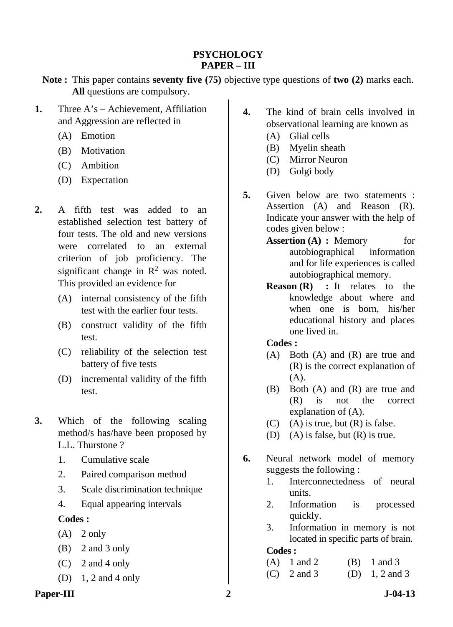### **PSYCHOLOGY PAPER – III**

- **Note :** This paper contains **seventy five (75)** objective type questions of **two (2)** marks each. **All** questions are compulsory.
- **1.** Three A's Achievement, Affiliation and Aggression are reflected in
	- (A) Emotion
	- (B) Motivation
	- (C) Ambition
	- (D) Expectation
- **2.** A fifth test was added to an established selection test battery of four tests. The old and new versions were correlated to an external criterion of job proficiency. The significant change in  $\mathbb{R}^2$  was noted. This provided an evidence for
	- (A) internal consistency of the fifth test with the earlier four tests.
	- (B) construct validity of the fifth test.
	- (C) reliability of the selection test battery of five tests
	- (D) incremental validity of the fifth test.
- **3.** Which of the following scaling method/s has/have been proposed by L.L. Thurstone ?
	- 1. Cumulative scale
	- 2. Paired comparison method
	- 3. Scale discrimination technique
	- 4. Equal appearing intervals

# **Codes :**

- $(A)$  2 only
- (B) 2 and 3 only
- (C) 2 and 4 only
- (D) 1, 2 and 4 only
- **4.** The kind of brain cells involved in observational learning are known as
	- (A) Glial cells
	- (B) Myelin sheath
	- (C) Mirror Neuron
	- (D) Golgi body
- **5.** Given below are two statements : Assertion (A) and Reason (R). Indicate your answer with the help of codes given below :
	- **Assertion (A) : Memory** for autobiographical information and for life experiences is called autobiographical memory.
	- **Reason (R) :** It relates to the knowledge about where and when one is born, his/her educational history and places one lived in.

### **Codes :**

- (A) Both (A) and (R) are true and (R) is the correct explanation of  $(A)$ .
- (B) Both (A) and (R) are true and (R) is not the correct explanation of (A).
- (C) (A) is true, but  $(R)$  is false.
- (D) (A) is false, but (R) is true.
- **6.** Neural network model of memory suggests the following :
	- 1. Interconnectedness of neural units.
	- 2. Information is processed quickly.
	- 3. Information in memory is not located in specific parts of brain.

- (A)  $1$  and  $2$  (B)  $1$  and  $3$ (C)  $2$  and  $3$  (D)  $1, 2$  and  $3$
- Paper-III 2 J-04-13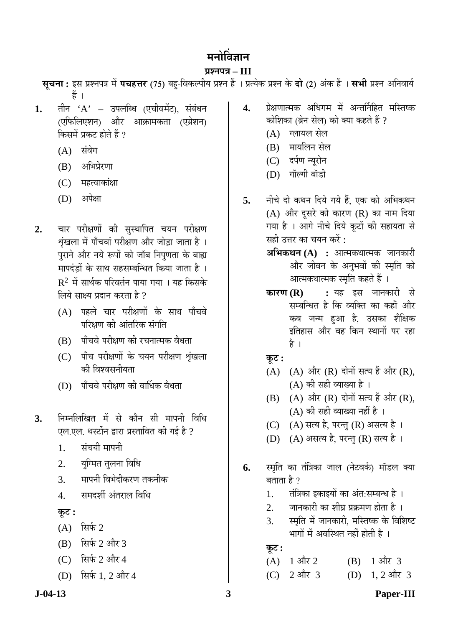# मनोविज्ञान

### **¯ÖÏ¿®Ö¯Ö¡Ö – III**

**सूचना:** इस प्रश्नपत्र में **पचहत्तर** (75) बहु-विकल्पीय प्रश्न हैं । प्रत्येक प्रश्न के **दो** (2) अंक हैं । सभी प्रश्न अनिवार्य हैं ।

- **1.** तीन 'A' उपलब्धि (एचीवमेंट), संबंधन (एफिलिएशन) और आक्रामकता (एग्रेशन) किसमें प्रकट होते हैं ?
	- $(A)$  संवेग
	- $(B)$  अभिप्रेरणा
	- (C) महत्वाकांक्षा
	- $(D)$  अपेक्षा
- 2. चार परीक्षणों की सुस्थापित चयन परीक्षण शृंखला में पाँचवां परीक्षण और जोड़ा जाता है । पुराने और नये रूपों को जॉब निपुणता के बाह्य `मापदंडों के साथ सहसम्बन्धित किया जाता है<sup>`</sup>।  $R<sup>2</sup>$  में सार्थक परिवर्तन पाया गया । यह किसके लिये साक्ष्य प्रदान करता है ?
	- $(A)$  पहले चार परीक्षणों के साथ पाँचवे परिक्षण की आंतरिक संगति
	- $(B)$  पाँचवे परीक्षण की रचनात्मक वैधता
	- (C) पाँच परीक्षणों के चयन परीक्षण शृंखला को विश्वसनीयता
	- $(D)$  पाँचवे परीक्षण की वार्धिक वैधता
- **3.** ×®Ö´®Ö×»Ö×ÜÖŸÖ ´Öë ÃÖê ÛúÖî®Ö ÃÖß ´ÖÖ¯Ö®Öß ×¾Ö×¬Ö एल.एल. थस्टोंन द्वारा प्रस्तावित की गई है ?
	- 1. संचयी मापनी
	- 2. युग्मित तुलना विधि
	- 3. मापनी विभेदीकरण तकनीक
	- 4. समदर्शी अंतराल विधि
	- **Ûæú™ü :**
	- $(A)$  सिर्फ 2
	- $(B)$  सिर्फ 2 और 3
	- (C) सिर्फ 2 और 4
	- (D) सिर्फ 1, 2 और 4
- 4. प्रेक्षणात्मक अधिगम में अन्तर्निहित मस्तिष्क कोशिका (ब्रेन सेल) को क्या कहते हैं ?
	- (A) ग्लायल सेल
	- (B) मायलिन सेल
	- (C) दर्पण न्यूरोन
	- (D) गॉल्गी बॉडी
- 5. नीचे दो कथन दिये गये हैं. एक को अभिकथन (A) और दूसरे को कारण (R) का नाम दिया गया है । आगे नीचे दिये कूटों की सहायता से सही उत्तर का चयन करें :
	- **अभिकथन (A) :** आत्मकथात्मक जानकारी और जीवन के अनुभवों की स्मृति को आत्मकथात्मक स्मृति कहते हैं ।
	- **कारण (R) :** यह इस जानकारी से सम्बन्धित है कि व्यक्ति का कहाँ और कब जन्म हुआ है, उसका शैक्षिक इतिहास और वह किन स्थानों पर रहा है ।
	- <u>क</u>ूट :
	- (A)  $(A)$  और  $(R)$  दोनों सत्य हैं और  $(R)$ ,  $(A)$  की सही व्याख्या है ।
	- $(B)$   $(A)$  और  $(R)$  दोनों सत्य हैं और  $(R)$ , (A) की सही व्याख्या नहीं है ।
	- (C)  $(A)$  सत्य है, परन्तु (R) असत्य है।
	- (D) (A) असत्य है, परन्तु (R) सत्य है।
- **6.** स्मृति का तंत्रिका जाल (नेटवर्क) मॉडल क्या बताता है ?
	- 1. तंत्रिका इकाइयों का अंत:सम्बन्ध है ।
	- 2. जानकारी का शीघ्र प्रक्रमण होता है ।
	- 3. स्मृति में जानकारी, मस्तिष्क के विशिष्ट <u>भागों में अवस्थित नहीं होती है</u> ।

 $\overline{\mathbf{F}}$ ः

 $(A)$  1 और 2  $(B)$  1 और 3 (C)  $2 \text{ and } 3$  (D)  $1, 2 \text{ and } 3$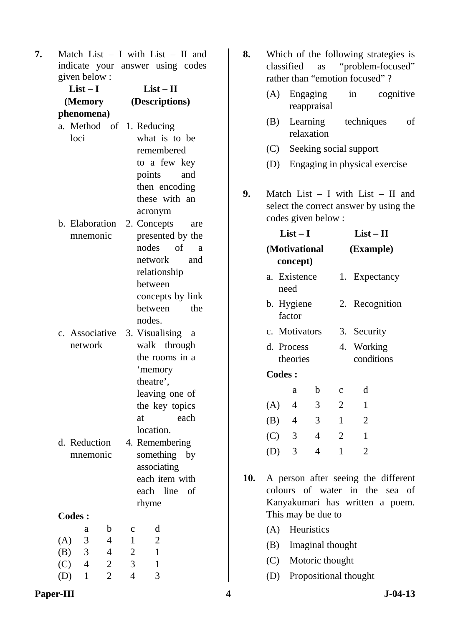**7.** Match List – I with List – II and indicate your answer using codes given below :

| $List-I$                                | $List - II$                    |  |  |
|-----------------------------------------|--------------------------------|--|--|
| (Memory                                 | (Descriptions)                 |  |  |
| phenomena)                              |                                |  |  |
| a. Method of 1. Reducing                |                                |  |  |
| loci                                    | what is to be                  |  |  |
|                                         | remembered                     |  |  |
|                                         | to a few key                   |  |  |
|                                         | and<br>points                  |  |  |
|                                         | then encoding                  |  |  |
|                                         | these with an                  |  |  |
|                                         | acronym                        |  |  |
| b. Elaboration 2. Concepts              | are                            |  |  |
| mnemonic                                | presented by the               |  |  |
|                                         | nodes of<br>a                  |  |  |
|                                         | network<br>and                 |  |  |
|                                         | relationship                   |  |  |
|                                         | between                        |  |  |
|                                         | concepts by link               |  |  |
|                                         | between<br>the                 |  |  |
|                                         | nodes.                         |  |  |
| c. Associative                          | 3. Visualising<br><sub>a</sub> |  |  |
| network                                 | walk through                   |  |  |
|                                         | the rooms in a                 |  |  |
|                                         | 'memory                        |  |  |
|                                         | theatre',<br>leaving one of    |  |  |
|                                         | the key topics                 |  |  |
|                                         | each<br>at                     |  |  |
|                                         | location.                      |  |  |
| d. Reduction                            | 4. Remembering                 |  |  |
| mnemonic                                | something<br>by                |  |  |
|                                         | associating                    |  |  |
|                                         | each item with                 |  |  |
|                                         | line<br>each<br>οf             |  |  |
|                                         | rhyme                          |  |  |
| <b>Codes:</b>                           |                                |  |  |
| b<br>a                                  | d<br>$\mathbf c$               |  |  |
| $\overline{4}$<br>3<br>(A)              | 1<br>2                         |  |  |
| 3<br>(B)<br>$\overline{4}$              | $\overline{c}$<br>$\mathbf{1}$ |  |  |
| $\overline{4}$<br>(C)<br>$\overline{c}$ | 3<br>1                         |  |  |
| $\overline{2}$<br>$\mathbf{1}$<br>(D)   | $\overline{4}$<br>3            |  |  |

- **8.** Which of the following strategies is classified as "problem-focused" rather than "emotion focused" ?
	- (A) Engaging in cognitive reappraisal
	- (B) Learning techniques of relaxation
	- (C) Seeking social support
	- (D) Engaging in physical exercise
- **9.** Match List I with List II and select the correct answer by using the codes given below :

|     | $List-I$                  |                |   |                | $List - II$              |  |  |  |
|-----|---------------------------|----------------|---|----------------|--------------------------|--|--|--|
|     | (Motivational<br>concept) |                |   |                | (Example)                |  |  |  |
|     | need                      | a. Existence   |   |                | 1. Expectancy            |  |  |  |
|     | b. Hygiene<br>factor      |                |   |                | 2. Recognition           |  |  |  |
|     | c. Motivators             |                |   |                | 3. Security              |  |  |  |
|     | d. Process<br>theories    |                |   |                | 4. Working<br>conditions |  |  |  |
|     | <b>Codes:</b>             |                |   |                |                          |  |  |  |
|     |                           | a              | b | $\mathbf{C}$   | d                        |  |  |  |
| (A) |                           | 4              | 3 | $\overline{2}$ | 1                        |  |  |  |
| (B) |                           | $\overline{4}$ | 3 | 1              | 2                        |  |  |  |
|     | (C) 3                     |                | 4 | 2              | 1                        |  |  |  |
|     |                           | 3              | 4 | 1              | 2                        |  |  |  |

- **10.** A person after seeing the different colours of water in the sea of Kanyakumari has written a poem. This may be due to
	- (A) Heuristics
	- (B) Imaginal thought
	- (C) Motoric thought
	- (D) Propositional thought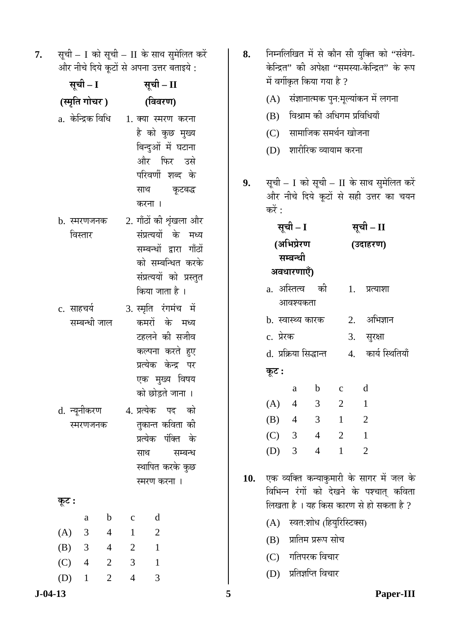| सूची – I को सूची – II के साथ सुमेलित करें |
|-------------------------------------------|
| और नीचे दिये कूटों से अपना उत्तर बताइये : |

| सूची – I<br>(स्मृति गोचर) |                          |                | सूची – II<br>(विवरण) |                                                                                                                                            |         |  |
|---------------------------|--------------------------|----------------|----------------------|--------------------------------------------------------------------------------------------------------------------------------------------|---------|--|
|                           |                          |                |                      |                                                                                                                                            |         |  |
|                           | b. स्मरणजनक<br>विस्तार   |                |                      | 2. गाँठों की शृंखला और<br>संप्रत्ययों के मध्य<br>सम्बन्धों द्वारा गाँठों<br>को सम्बन्धित करके<br>संप्रत्ययों को प्रस्तुत<br>किया जाता है । |         |  |
| c. साहचर्य                | सम्बन्धी जाल             |                |                      | 3. स्मृति रंगमंच में<br>कमरों के मध्य<br>टहलने की सजीव<br>कल्पना करते हुए<br>प्रत्येक केन्द्र पर<br>एक मुख्य विषय<br>को छोड़ते जाना ।      |         |  |
|                           | d. न्यूनीकरण<br>स्मरणजनक |                | साथ                  | 4. प्रत्येक पद को<br>तुकान्त कविता की<br>प्रत्येक पंक्ति के<br>स्थापित करके कुछ<br>स्मरण करना ।                                            | सम्बन्ध |  |
| कूट :                     |                          |                |                      |                                                                                                                                            |         |  |
|                           | a                        | b              | $\mathbf c$          | d                                                                                                                                          |         |  |
| (A)                       | 3                        | $\overline{4}$ | $\mathbf{1}$         | $\overline{2}$                                                                                                                             |         |  |
| $(B)$ 3                   |                          | $\overline{4}$ | $\overline{2}$       | $\mathbf{1}$                                                                                                                               |         |  |
| $(C)$ 4                   |                          | $\overline{2}$ | 3                    | $\mathbf{1}$                                                                                                                               |         |  |
| (D)                       | $\mathbf{1}$             | $\overline{2}$ | 4                    | 3                                                                                                                                          |         |  |

- 8. Fiम्नलिखित में से कौन सी युक्ति को "संवेग-केन्द्रित" की अपेक्षा "समस्या-केन्द्रित" के रूप में वर्गीकृत किया गया है ?
	- $(A)$  संज्ञानात्मक पुन:मूल्यांकन में लगना
	- $(B)$  विश्राम की अधिगम प्रविधियाँ
	- (C) सामाजिक समर्थन खोजना
	- (D) शारीरिक व्यायाम करना
- 9. सूची I को सूची II के साथ सुमेलित करें और नीचे दिये कूटों से सही उत्तर का चयन करें $\cdot$

| सूची – I               |                | सूची – II      |                    |  |
|------------------------|----------------|----------------|--------------------|--|
| (अभिप्रेरण             |                | (उदाहरण)       |                    |  |
| सम्बन्धी               |                |                |                    |  |
| अवधारणाएँ)             |                |                |                    |  |
| a. अस्तित्व की         |                |                | 1. प्रत्याशा       |  |
| आवश्यकता               |                |                |                    |  |
| b.  स्वास्थ्य कारक     |                |                | 2. अभिज्ञान        |  |
| c. प्रेरक              |                |                | 3. सुरक्षा         |  |
| d. प्रक्रिया सिद्धान्त |                |                | 4. कार्य स्थितियाँ |  |
| कूट :                  |                |                |                    |  |
| a                      | $\mathbf b$    | $\mathbf{C}$   | d                  |  |
| (A) 4                  | $\mathcal{E}$  | $\overline{2}$ | $\mathbf{1}$       |  |
| $(B)$ 4                | $\overline{3}$ | $\mathbf{1}$   | $\overline{2}$     |  |
| (C) 3 4 2              |                |                | $\mathbf{1}$       |  |
| $(D)$ 3                | 4              | $\mathbf{1}$   | $\overline{2}$     |  |
|                        |                |                |                    |  |

10. एक व्यक्ति कन्याकुमारी के सागर में जल के विभिन्न रंगों को देखने के पश्चात् कविता लिखता है । यह किस कारण से हो सकता है ?

- (A) स्वत:शोध (हियुरिस्टिक्स)
- (B) प्रांतिम प्ररूप सोच
- (C) गतिपरक विचार
- (D) प्रतिज्ञप्ति विचार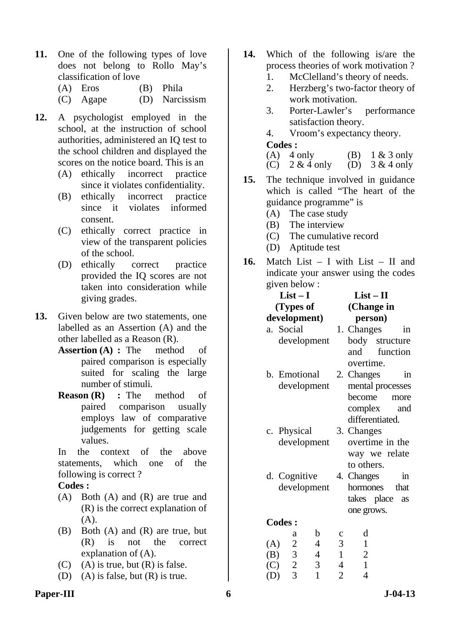- **11.** One of the following types of love does not belong to Rollo May's classification of love
	- (A) Eros (B) Phila
	- (C) Agape (D) Narcissism
- **12.** A psychologist employed in the school, at the instruction of school authorities, administered an IQ test to the school children and displayed the scores on the notice board. This is an
	- (A) ethically incorrect practice since it violates confidentiality.
	- (B) ethically incorrect practice since it violates informed consent.
	- (C) ethically correct practice in view of the transparent policies of the school.
	- (D) ethically correct practice provided the IQ scores are not taken into consideration while giving grades.
- **13.** Given below are two statements, one labelled as an Assertion (A) and the other labelled as a Reason (R).
	- **Assertion (A) :** The method of paired comparison is especially suited for scaling the large number of stimuli.
	- **Reason (R)** : The method of paired comparison usually employs law of comparative judgements for getting scale values.

In the context of the above statements, which one of the following is correct ?

#### **Codes :**

- (A) Both (A) and (R) are true and (R) is the correct explanation of (A).
- (B) Both (A) and (R) are true, but (R) is not the correct explanation of (A).
- (C) (A) is true, but  $(R)$  is false.
- (D) (A) is false, but (R) is true.
- **14.** Which of the following is/are the process theories of work motivation ?
	- 1. McClelland's theory of needs.
	- 2. Herzberg's two-factor theory of work motivation.
	- 3. Porter-Lawler's performance satisfaction theory.
	- 4. Vroom's expectancy theory.

#### **Codes :**

| $(A)$ 4 only                                        | (B) $1 & 3$ only |
|-----------------------------------------------------|------------------|
| (C) $2 \& 4 \text{ only}$ (D) $3 \& 4 \text{ only}$ |                  |

- **15.** The technique involved in guidance which is called "The heart of the guidance programme" is
	- (A) The case study
	- (B) The interview
	- (C) The cumulative record
	- (D) Aptitude test
- **16.** Match List I with List II and indicate your answer using the codes given below :

| $List-II$<br>(Change in                   |  |  |  |  |
|-------------------------------------------|--|--|--|--|
| person)                                   |  |  |  |  |
|                                           |  |  |  |  |
| 1. Changes<br>in                          |  |  |  |  |
| body structure                            |  |  |  |  |
| and function                              |  |  |  |  |
| overtime.                                 |  |  |  |  |
| 2. Changes<br>in                          |  |  |  |  |
| mental processes<br>development           |  |  |  |  |
| become<br>more                            |  |  |  |  |
| complex<br>and                            |  |  |  |  |
| differentiated.                           |  |  |  |  |
| 3. Changes                                |  |  |  |  |
| overtime in the                           |  |  |  |  |
| way we relate                             |  |  |  |  |
| to others.                                |  |  |  |  |
| 4. Changes<br>in                          |  |  |  |  |
|                                           |  |  |  |  |
| hormones<br>that                          |  |  |  |  |
| takes place as                            |  |  |  |  |
| one grows.                                |  |  |  |  |
|                                           |  |  |  |  |
|                                           |  |  |  |  |
| d<br>c                                    |  |  |  |  |
| 3<br>$\mathbf{1}$                         |  |  |  |  |
| development<br>development<br>development |  |  |  |  |

 (C) 2 3 4 1 (D) 3 1 2 4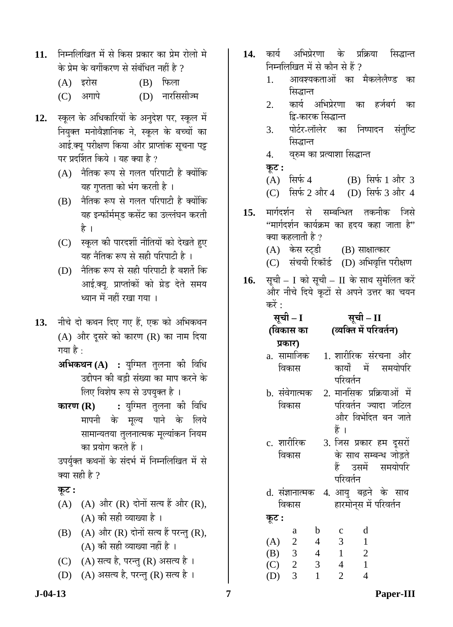- 11. निम्नलिखित में से किस प्रकार का प्रेम रोलो मे के प्रेम के वर्गीकरण से संबंधित नहीं है ?
	- $(A)$  इरोस  $(B)$  फिला
	- (C) अगापे (D) नारसिसीज्म
- 12. स्कूल के अधिकारियों के अनुदेश पर, स्कूल में नियुक्त मनोवैज्ञानिक ने, स्कूल के बच्चों का आई.क्यू परीक्षण किया और प्राप्तांक सूचना पट्ट पर प्रदर्शित किये । यह क्या है ?
	- $(A)$  नैतिक रूप से गलत परिपाटी है क्योंकि यह गुप्तता को भंग करती है ।
	- $(B)$  नैतिक रूप से गलत परिपाटी है क्योंकि यह इन्फॉर्ममुड कसेंट का उल्लंघन करती है ।
	- (C) स्कूल की पारदर्शी नीतियों को देखते हुए यह नैतिक रूप से सही परिपाटी है ।
	- (D)  $\hat{\vec{a}}$ तिक रूप से सही परिपाटी है बशर्ते कि आई.क्य. प्राप्तांकों को ग्रेड देते समय ध्यान में नहीं रखा गया ।
- 13. नीचे दो कथन दिए गए हैं. एक को अभिकथन  $(A)$  और दूसरे को कारण  $(R)$  का नाम दिया गया है :
	- **अभिकथन (A) :** युग्मित तुलना की विधि उद्दीपन की बड़ी संख्या का माप करने के लिए विशेष रूप से उपयुक्त है ।
	- **कारण (R) :** युग्मित तुलना की विधि मापनी के मुल्य पाने के लिये सामान्यतया तुलनात्मक मूल्यांकन नियम का प्रयोग करते हैं ।

उपर्युक्त कथनों के संदर्भ में निम्नलिखित में से क्या सही है ?

# $\Phi$ **:**

- $(A)$   $(A)$  और  $(R)$  दोनों सत्य हैं और  $(R)$ ,  $(A)$  की सही व्याख्या है ।
- $(B)$   $(A)$  और  $(R)$  दोनों सत्य हैं परन्तु  $(R)$ , (A) की सही व्याख्या नहीं है ।
- $(C)$   $(A)$  सत्य है, परन्तु  $(R)$  असत्य है ।
- (D)  $(A)$  असत्य है, परन्तु (R) सत्य है।
- 14. कार्य अभिप्रेरणा के प्रक्रिया सिद्धान्त निम्नलिखित में से कौन से हैं ?
	- 1. आवश्यकताओं का मैकलेलैण्ड का सिद्धान्त
	- 2. कार्य अभिप्रेरणा का हर्जबर्ग का द्वि-कारक सिद्धान्त
	- 3. पोर्टर-लॉलेर का निष्पादन संतुष्टि सिद्धान्त
	- 4. विरुम का प्रत्याशा सिद्धान्त

### **Ûæú™ü :**

 $(A)$  सिर्फ 4  $(B)$  सिर्फ 1 और 3

(C) सिर्फ 2 और 4 (D) सिर्फ 3 और 4

- 15. मार्गदर्शन से सम्बन्धित तकनीक जिसे  $\lq$ भार्गदर्शन कार्यक्रम का हृदय कहा जाता है: क्या कहलाती है ?
	- (A) केस स्टडी (B) साक्षात्कार
	- (C) संचयी रिकॉर्ड (D) अभिवृत्ति परीक्षण
- 16. सूची I को सूची II के साथ सुमेलित करें ँ और नीचे दिये कटों से अपने उत्तर का चयन करें : $\overrightarrow{a}$

| सूची – I<br>(विकास का | सूची – II<br>(व्यक्ति में परिवर्तन) |  |  |  |
|-----------------------|-------------------------------------|--|--|--|
| प्रकार)               |                                     |  |  |  |
| a. सामाजिक            | 1. शारीरिक संरचना और                |  |  |  |
| विकास                 | में समयोपरि<br>कार्यो               |  |  |  |
|                       | परिवर्तन                            |  |  |  |

- b. संवेगात्मक विकास 2. मानसिक प्रक्रियाओं में परिवर्तन ज्यादा जटिल और विभेदित बन जाते हें ।
- c. शारीरिक विकास 3. जिस प्रकार हम दूसरों के साथ सम्बन्ध जोड़ते हैं उसमें समयोपरि
- परिवर्तन d. संज्ञानात्मक 4. आयु बढ़ने के साथ
- विकास हारमोन्स में परिवर्तन  $\overline{\phi}$ **:**

|     | a | n | C | d |
|-----|---|---|---|---|
| (A) | 2 | 4 | 3 |   |
| (B) | 3 | 4 |   | 2 |
| (C) | 2 | 3 | 4 |   |
| (D) | 3 |   | 2 |   |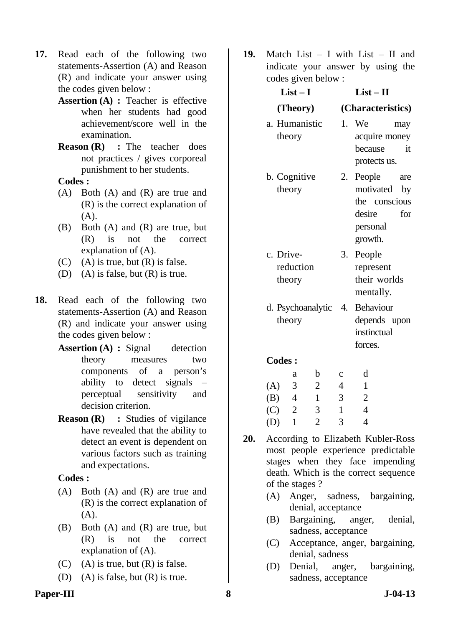- **17.** Read each of the following two statements-Assertion (A) and Reason (R) and indicate your answer using the codes given below :
	- **Assertion (A) : Teacher is effective** when her students had good achievement/score well in the examination.
	- **Reason (R)** : The teacher does not practices / gives corporeal punishment to her students.

- (A) Both (A) and (R) are true and (R) is the correct explanation of (A).
- (B) Both (A) and (R) are true, but (R) is not the correct explanation of (A).
- $(C)$  (A) is true, but  $(R)$  is false.
- (D) (A) is false, but  $(R)$  is true.
- **18.** Read each of the following two statements-Assertion (A) and Reason (R) and indicate your answer using the codes given below :
	- **Assertion (A) : Signal detection** theory measures two components of a person's ability to detect signals – perceptual sensitivity and decision criterion.
	- **Reason (R) : Studies of vigilance** have revealed that the ability to detect an event is dependent on various factors such as training and expectations.

### **Codes :**

- (A) Both (A) and (R) are true and (R) is the correct explanation of (A).
- (B) Both (A) and (R) are true, but (R) is not the correct explanation of (A).
- (C) (A) is true, but  $(R)$  is false.
- (D) (A) is false, but  $(R)$  is true.

**19.** Match List – I with List – II and indicate your answer by using the codes given below :

| COUCS GIVEN DEIUW.               |                                                                                                 |  |  |  |  |
|----------------------------------|-------------------------------------------------------------------------------------------------|--|--|--|--|
| $List-I$                         | $List - II$                                                                                     |  |  |  |  |
| (Theory)                         | (Characteristics)                                                                               |  |  |  |  |
| a. Humanistic<br>theory          | 1.<br>We<br>may<br>acquire money<br>because<br>it<br>protects us.                               |  |  |  |  |
| b. Cognitive<br>theory           | People<br>2.<br>are<br>motivated<br>by<br>the conscious<br>desire<br>for<br>personal<br>growth. |  |  |  |  |
| c. Drive-<br>reduction<br>theory | People<br>3.<br>represent<br>their worlds<br>mentally.                                          |  |  |  |  |
| d. Psychoanalytic<br>theory      | Behaviour<br>4.<br>depends upon<br>instinctual<br>forces.                                       |  |  |  |  |
| <b>Codes :</b>                   |                                                                                                 |  |  |  |  |

### $\epsilon$

|     | а | h | с | d |
|-----|---|---|---|---|
| (A) | 3 | 2 | 4 |   |
| (B) | 4 | 1 | 3 | 2 |
| (C) | 2 | 3 |   | 4 |
| (D) |   | 2 | 3 |   |

- **20.** According to Elizabeth Kubler-Ross most people experience predictable stages when they face impending death. Which is the correct sequence of the stages ?
	- (A) Anger, sadness, bargaining, denial, acceptance
	- (B) Bargaining, anger, denial, sadness, acceptance
	- (C) Acceptance, anger, bargaining, denial, sadness
	- (D) Denial, anger, bargaining, sadness, acceptance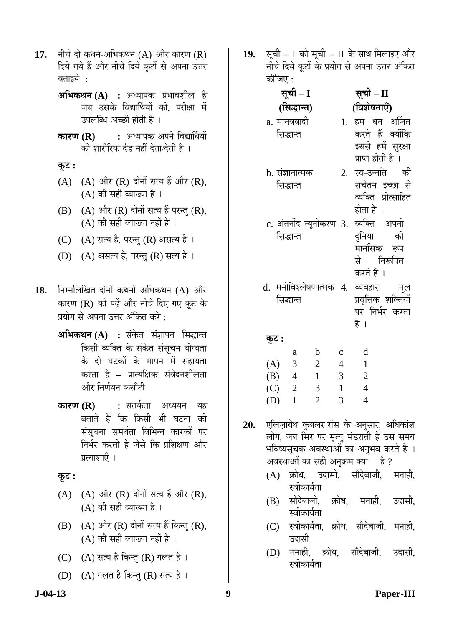- 17. नीचे दो कथन-अभिकथन (A) और कारण (R) दिये गये हैं और नीचे दिये कूटों से अपना उत्तर बताइये $\,$  :
	- $\mathbf{A}$ **अभिकथन (A) :** अध्यापक प्रभावशील है जब उसके विद्यार्थियों की. परीक्षा में उपलब्धि अच्छी होती है ।
	- **कारण (R) :** अध्यापक अपने विद्यार्थियों को शारीरिक दंड नहीं देता/देती है ।
	- **Ûæú™ü :**
	- $(A)$   $(A)$  और  $(R)$  दोनों सत्य हैं और  $(R)$ ,  $(A)$  की सही व्याख्या है।
	- $(B)$   $(A)$  और  $(R)$  दोनों सत्य हैं परन्तु  $(R)$ ,  $(A)$  की सही व्याख्या नहीं है ।
	- $(C)$   $(A)$  सत्य है, परन्तु  $(R)$  असत्य है ।
	- (D)  $(A)$  असत्य है, परन्तु (R) सत्य है।
- 18. निम्नलिखित दोनों कथनों अभिकथन (A) और कारण (R) को पढ़ें और नीचे दिए गए कट के प्रयोग से अपना उत्तर अंकित करें :
	- **अभिकथन (A) :** संकेत संज्ञापन सिद्धान्त किसी व्यक्ति के संकेत संसुचन योग्यता के दो घटकों के मापन में सहायता करता है – प्रात्यक्षिक संवेदनशीलता ओर निर्णयन कसौटी
	- **कारण (R) :** सतर्कता अध्ययन यह बताते हैं कि किसी भी घटना क<mark>ी</mark> संसुचना समर्थता विभिन्न कारकों पर निर्भर करती है जैसे कि प्रशिक्षण और प्रत्याशाएँ ।
	- <u>कूट :</u>
	- $(A)$   $(A)$  और  $(R)$  दोनों सत्य हैं और  $(R)$ ,  $(A)$  की सही व्याख्या है।
	- $(B)$   $(A)$  और  $(R)$  दोनों सत्य हैं किन्तु  $(R)$ ,  $(A)$  की सही व्याख्या नहीं है।
	- (C)  $(A)$  सत्य है किन्तु (R) गलत है ।
	- (D) (A) गलत है किन्तु (R) सत्य है ।

19. सूची – I को सूची – II के साथ मिलाइए और नीचे दिये कुटों के प्रयोग से अपना उत्तर अंकित क्रीज़ि $\mathbf u \cdot$ 

| सूची – I                              |             |                                        |  |  |  |
|---------------------------------------|-------------|----------------------------------------|--|--|--|
| (सिद्धान्त)                           |             | (विशेषताएँ)                            |  |  |  |
| a. मानववादी                           |             | 1. हम धन अर्जित                        |  |  |  |
| सिद्धान्त                             |             | करते हैं क्योंकि                       |  |  |  |
|                                       |             | इससे हमें सुरक्षा<br>प्राप्त होती है । |  |  |  |
| b. संज्ञानात्मक                       |             | 2. स्व-उन्नति की                       |  |  |  |
| सिद्धान्त                             |             | सचेतन इच्छा से                         |  |  |  |
|                                       |             | व्यक्ति प्रोत्साहित                    |  |  |  |
|                                       |             | होता है ।                              |  |  |  |
| c. अंतर्नोद न्यूनीकरण 3. व्यक्ति अपनी |             |                                        |  |  |  |
| सिद्धान्त                             |             | दुनिया को                              |  |  |  |
|                                       |             | मानसिक रूप                             |  |  |  |
|                                       |             | से निरूपित                             |  |  |  |
|                                       |             | करते हैं ।                             |  |  |  |
| d. मनोविश्लेषणात्मक 4.                |             | व्यवहार मूल                            |  |  |  |
| सिद्धान्त                             |             | प्रवृत्तिक शक्तियों<br>पर निर्भर करता  |  |  |  |
|                                       |             | है ।                                   |  |  |  |
| कूट :                                 |             |                                        |  |  |  |
| $\mathbf{b}$<br>a                     | $\mathbf c$ | d                                      |  |  |  |
| (A) 3<br>$\overline{\phantom{a}}$     | 4           | $\mathbf{1}$                           |  |  |  |
| (D)<br>$\Lambda$<br>$\blacksquare$    | 2           | ◠                                      |  |  |  |

- (A) 3 2 4 1 (B) 4 1 3 2 (C) 2 3 1 4 (D) 1 2 3 4
- 20. **एलिज़ाबेथ कुबलर-रॉस के अनुसार, अधिकांश** लोग, जब सिर पर मृत्यू मंडराती है उस समय भविष्यसूचक अवस्थाओं का अनुभव करते है । अवस्थाओं का सही अनुक्रम क्या है ?
	- $(A)$  क्रोध, उदासी, सौदेबाजी, मनाही, स्वीकार्यता
	- (B) सौदेबाजी, क्रोध, मनाही, उदासी, स्वीकार्यता
	- (C) स्वीकार्यता, क्रोध, सौदेबाजी, मनाही, उदासी
	- (D) मनाही, क्रोध, सौदेबाजी, उदासी, स्वीकार्यता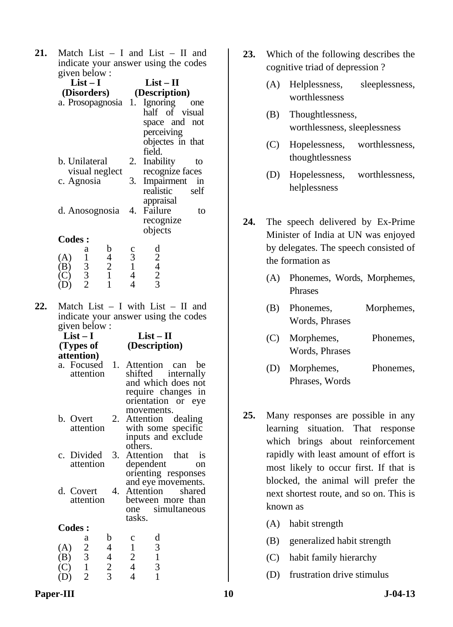**21.** Match List – I and List – II and indicate your answer using the codes given below :

| (Disorders)                                      | $List-I$                                   |                                                 |                                                                       | $List-II$<br>(Description)                                                                     |
|--------------------------------------------------|--------------------------------------------|-------------------------------------------------|-----------------------------------------------------------------------|------------------------------------------------------------------------------------------------|
|                                                  |                                            | a. Prosopagnosia 1.                             |                                                                       | Ignoring<br>one<br>half of visual<br>space and not<br>perceiving<br>objectes in that<br>field. |
| b. Unilateral                                    |                                            |                                                 | 2.                                                                    | Inability<br>to                                                                                |
| visual neglect<br>c. Agnosia<br>d. Anosognosia   |                                            | 3.                                              | recognize faces<br>Impairment<br>in<br>realistic<br>self<br>appraisal |                                                                                                |
|                                                  |                                            | 4.                                              | Failure<br>to<br>recognize<br>objects                                 |                                                                                                |
| <b>Codes:</b><br>$\left[ \mathbf{A}\right]$<br>B | a                                          | $\begin{array}{c} b \\ 4 \\ 2 \\ 1 \end{array}$ | $\begin{smallmatrix} 1 \\ 3 \\ 1 \\ 4 \end{smallmatrix}$              | $\frac{d}{2}$<br>$\frac{2}{3}$                                                                 |
| D)                                               | $\begin{array}{c} 1 \\ 3 \\ 2 \end{array}$ |                                                 | 4                                                                     |                                                                                                |

**22.** Match List – I with List – II and indicate your answer using the codes given below :

| $List-I$<br>(Types of                                                                                                                                                                                                                                                                                      |                                                 | $List-II$<br>(Description)                |  |  |  |
|------------------------------------------------------------------------------------------------------------------------------------------------------------------------------------------------------------------------------------------------------------------------------------------------------------|-------------------------------------------------|-------------------------------------------|--|--|--|
| attention)                                                                                                                                                                                                                                                                                                 |                                                 |                                           |  |  |  |
|                                                                                                                                                                                                                                                                                                            |                                                 | a. Focused 1. Attention can be            |  |  |  |
| attention                                                                                                                                                                                                                                                                                                  |                                                 | shifted internally                        |  |  |  |
|                                                                                                                                                                                                                                                                                                            |                                                 | and which does not                        |  |  |  |
|                                                                                                                                                                                                                                                                                                            |                                                 | require changes in                        |  |  |  |
|                                                                                                                                                                                                                                                                                                            |                                                 | orientation or eye                        |  |  |  |
|                                                                                                                                                                                                                                                                                                            |                                                 | movements.                                |  |  |  |
| b. Overt                                                                                                                                                                                                                                                                                                   |                                                 | 2. Attention dealing                      |  |  |  |
| attention                                                                                                                                                                                                                                                                                                  |                                                 | with some specific                        |  |  |  |
|                                                                                                                                                                                                                                                                                                            |                                                 | inputs and exclude                        |  |  |  |
|                                                                                                                                                                                                                                                                                                            |                                                 | others.                                   |  |  |  |
| c. Divided 3.                                                                                                                                                                                                                                                                                              |                                                 | Attention that is                         |  |  |  |
| attention                                                                                                                                                                                                                                                                                                  |                                                 | dependent<br>on                           |  |  |  |
|                                                                                                                                                                                                                                                                                                            |                                                 | orienting responses                       |  |  |  |
|                                                                                                                                                                                                                                                                                                            |                                                 |                                           |  |  |  |
| d. Covert                                                                                                                                                                                                                                                                                                  |                                                 | and eye movements.<br>4. Attention shared |  |  |  |
| attention                                                                                                                                                                                                                                                                                                  |                                                 | between more than                         |  |  |  |
|                                                                                                                                                                                                                                                                                                            |                                                 | one simultaneous                          |  |  |  |
|                                                                                                                                                                                                                                                                                                            |                                                 | tasks.                                    |  |  |  |
|                                                                                                                                                                                                                                                                                                            |                                                 |                                           |  |  |  |
| <b>Codes:</b>                                                                                                                                                                                                                                                                                              |                                                 |                                           |  |  |  |
|                                                                                                                                                                                                                                                                                                            | b                                               | d<br>$\mathbf c$                          |  |  |  |
|                                                                                                                                                                                                                                                                                                            | $\overline{4}$                                  | 3<br>$\mathbf{1}$                         |  |  |  |
|                                                                                                                                                                                                                                                                                                            |                                                 | $\frac{1}{3}$                             |  |  |  |
|                                                                                                                                                                                                                                                                                                            |                                                 | $\frac{2}{4}$                             |  |  |  |
| $(A)$ $\begin{matrix}\nA \\ C\n\end{matrix}$ $\begin{matrix}\nA \\ C\n\end{matrix}$ $\begin{matrix}\nA \\ C\n\end{matrix}$ $\begin{matrix}\nA \\ D \\ E\n\end{matrix}$ $\begin{matrix}\nC \\ D \\ D\n\end{matrix}$ $\begin{matrix}\nC \\ D \\ D\n\end{matrix}$ $\begin{matrix}\nC \\ D \\ D\n\end{matrix}$ | $\begin{array}{c} 4 \\ 4 \\ 2 \\ 3 \end{array}$ | $\overline{4}$                            |  |  |  |

- **23.** Which of the following describes the cognitive triad of depression ?
	- (A) Helplessness, sleeplessness, worthlessness
	- (B) Thoughtlessness, worthlessness, sleeplessness
	- (C) Hopelessness, worthlessness, thoughtlessness
	- (D) Hopelessness, worthlessness, helplessness
- **24.** The speech delivered by Ex-Prime Minister of India at UN was enjoyed by delegates. The speech consisted of the formation as
	- (A) Phonemes, Words, Morphemes, Phrases
	- (B) Phonemes, Morphemes, Words, Phrases
	- (C) Morphemes, Phonemes, Words, Phrases
	- (D) Morphemes, Phonemes, Phrases, Words
- **25.** Many responses are possible in any learning situation. That response which brings about reinforcement rapidly with least amount of effort is most likely to occur first. If that is blocked, the animal will prefer the next shortest route, and so on. This is known as
	- (A) habit strength
	- (B) generalized habit strength
	- (C) habit family hierarchy
	- (D) frustration drive stimulus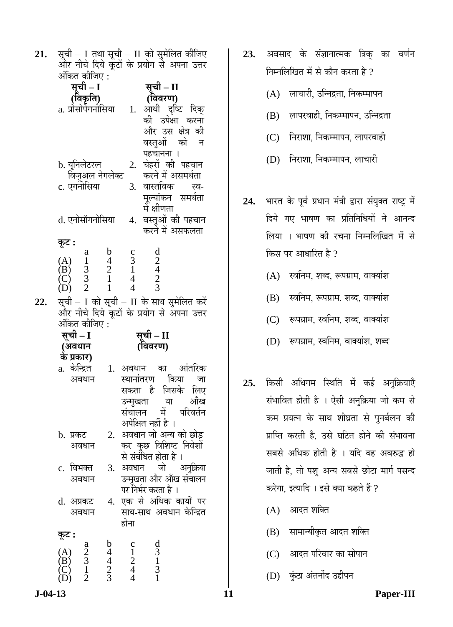**21.** सूची – I तथा सूची – II को सुमेलित कीजिए<br>और नीचे दिये कूटों के प्रयोग से अपना उत्तर  $\frac{1}{2}$ अंकित क्रीज़िए  $\cdot$ 

|     | $\cdots$<br>सूची – I                                                                                                                                                       | सूची – II<br>(विवरण)                                                                                                                                                                                                   |
|-----|----------------------------------------------------------------------------------------------------------------------------------------------------------------------------|------------------------------------------------------------------------------------------------------------------------------------------------------------------------------------------------------------------------|
|     | ( <b>विकृति</b> )<br>a. प्रोसोपेगनोसिया                                                                                                                                    | आंधी दृष्टि दिक्<br>1.<br>की उपेक्षा करना<br>और उस क्षेत्र की<br>वस्तुओं को न<br>पहचानना ।                                                                                                                             |
|     | b. यूनिलेटरल्<br>विज़ुअल नेगलेक्ट<br>c. एगनोसिया                                                                                                                           | चेहरों की पहचान<br>2.<br>करने में असमर्थता<br>वास्तविक स्व-<br>3.<br>मूल्यांकन समर्थता<br>में क्षीणता                                                                                                                  |
|     | d. एनोसॉगनोसिया                                                                                                                                                            | वस्तुओं की पहचान<br>4.<br>करने में असफलता                                                                                                                                                                              |
| 22. | कूट :<br>$\mathbf b$<br>(A) $\begin{array}{ccc} 1 & 1 & 4 \\ (1) & 1 & 4 \\ (2) & 3 & 2 \\ (1) & 2 & 1 \end{array}$<br>(B) $\begin{array}{ccc} 3 & 2 \\ 1 & 1 \end{array}$ | $\begin{array}{c}\n1 \\ 2 \\ 4 \\ 2 \\ 3\n\end{array}$<br>$\begin{array}{c} c \\ 3 \\ 1 \\ 4 \end{array}$<br>$\overline{4}$<br>सूची – I को सूची – II के साथ सुमेलित करें<br>और नीचे दिये कूटों के प्रयोग से अपना उत्तर |
|     | अंकित कीजिए :                                                                                                                                                              |                                                                                                                                                                                                                        |
|     | सूची – I<br>(अवधान                                                                                                                                                         | सूची – II<br>(विवरण)                                                                                                                                                                                                   |
|     | के प्रकार)<br>a. केन्द्रित<br>अवधान                                                                                                                                        | 1. अवधान का आंतरिक<br>स्थानांतरण किया<br>जा<br>सकता है जिसके लिए<br>उन्मुखता या आँख<br>संचालन में परिवर्तन                                                                                                             |
|     | b. प्रकट<br>अवधान                                                                                                                                                          | अपेक्षित नहीं है ।<br>2. अवधान जो अन्य को छोड़<br>कर कुछ विशिष्ट निवेशों                                                                                                                                               |
|     | विभक्त<br>$\mathbf{c}$ .<br>अवधान                                                                                                                                          | से संबंधित होता है ।<br>3. अवधान जो<br>अनुक्रिया<br>उन्मुखता और आँख संचालन                                                                                                                                             |
|     | d. अप्रकट<br>अवधान                                                                                                                                                         | पर निर्भर करता है ।<br>4. एक से अधिक कार्यों पर<br>साथ-साथ अवधान केन्द्रित<br>होना                                                                                                                                     |

- 23. अवसाद के संज्ञानात्मक त्रिक् का वर्णन निम्नलिखित में से कौन करता है ?
	- $(A)$  लाचारी, उन्निद्रता, निकम्मापन
	- (B) लापरवाही, निकम्मापन, उन्निद्रता
	- (C) निराशा, निकम्मापन, लापरवाही
	- (D) निराशा, निकम्मापन, लाचारी
- 24. भारत के पूर्व प्रधान मंत्री द्वारा संयुक्त राष्ट्र में दिये गए भाषण का प्रतिनिधियों ने आनन्द लिया । भाषण की रचना निम्नलिखित में से किस पर आधारित है ?
	- $(A)$  स्वनिम, शब्द, रूपग्राम, वाक्यांश
	- $(B)$  स्वनिम, रूपग्राम, शब्द, वाक्यांश
	- (C) रूपग्राम, स्वनिम, शब्द, वाक्यांश
	- (D) रूपग्राम, स्वनिम, वाक्यांश, शब्द
- 25. किसी अधिगम स्थिति में कई अनुक्रियाएँ संभावित होती है । ऐसी अनुक्रिया जो कम से कम प्रयत्न के साथ शीघ्रता से पुनर्बलन की प्राप्ति करती है. उसे घटित होने की संभावना सबसे अधिक होती है । यदि वह अवरुद्ध हो जाती है, तो पशु अन्य सबसे छोटा मार्ग पसन्द करेगा. इत्यादि । इसे क्या कहते हैं ?
	- $(A)$  आदत शक्ति
	- (B) सामान्यीकृत आदत शक्ति
	- (C) आदत परिवार का सोपान
	- (D) कुंठा अंतर्नोद उद्दीपन

 $(D)$  2 3 4 1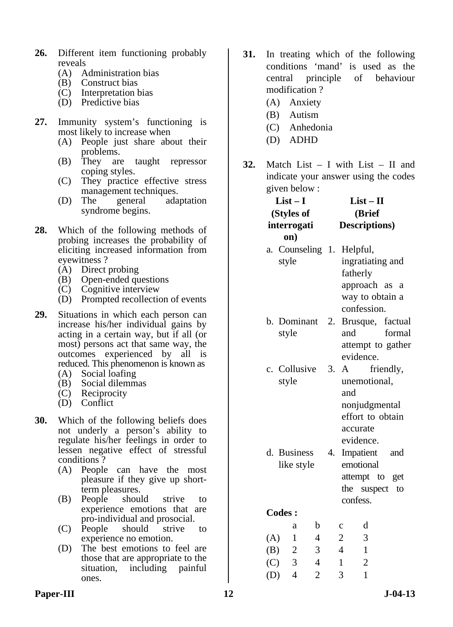- **26.** Different item functioning probably reveals
	- (A) Administration bias
	- (B) Construct bias
	- (C) Interpretation bias
	- (D) Predictive bias
- **27.** Immunity system's functioning is most likely to increase when
	- (A) People just share about their problems.
	- (B) They are taught repressor coping styles.
	- (C) They practice effective stress management techniques.
	- (D) The general adaptation syndrome begins.
- **28.** Which of the following methods of probing increases the probability of eliciting increased information from eyewitness ?
	- (A) Direct probing
	- (B) Open-ended questions
	- (C) Cognitive interview
	- (D) Prompted recollection of events
- **29.** Situations in which each person can increase his/her individual gains by acting in a certain way, but if all (or most) persons act that same way, the outcomes experienced by all is reduced. This phenomenon is known as
	- (A) Social loafing
- (B) Social dilemmas
- (C) Reciprocity
	- (D) Conflict
- **30.** Which of the following beliefs does not underly a person's ability to regulate his/her feelings in order to lessen negative effect of stressful conditions ?
	- (A) People can have the most pleasure if they give up shortterm pleasures.
	- (B) People should strive to experience emotions that are pro-individual and prosocial.
	- (C) People should strive to experience no emotion.
	- (D) The best emotions to feel are those that are appropriate to the situation, including painful ones.
- **31.** In treating which of the following conditions 'mand' is used as the central principle of behaviour modification ?
	- (A) Anxiety
	- (B) Autism
	- (C) Anhedonia
	- (D) ADHD
- **32.** Match List I with List II and indicate your answer using the codes given below :

|     | $List-I$<br>(Styles of<br>interrogati  | $List - II$<br>(Brief |    |                     | Descriptions)                                                                 |                                                 |  |
|-----|----------------------------------------|-----------------------|----|---------------------|-------------------------------------------------------------------------------|-------------------------------------------------|--|
| а.  | on)<br>Counseling 1. Helpful,<br>style |                       |    |                     | ingratiating and<br>fatherly<br>approach as<br>way to obtain a<br>confession. | a                                               |  |
|     | b. Dominant<br>style                   |                       | 2. |                     | and<br>evidence.                                                              | Brusque, factual<br>formal<br>attempt to gather |  |
|     | c. Collusive<br>style                  |                       | 3. | $\mathbf{A}$<br>and | unemotional,<br>nonjudgmental<br>effort to obtain<br>accurate<br>evidence.    | friendly,                                       |  |
|     | d. Business<br>like style              |                       | 4. |                     | Impatient<br>emotional<br>attempt to get<br>the suspect<br>confess.           | and<br>to                                       |  |
|     | <b>Codes:</b>                          |                       |    |                     |                                                                               |                                                 |  |
|     | a                                      | b                     |    | $\mathbf C$         | d                                                                             |                                                 |  |
| (A) | $\mathbf{1}$                           | 4                     |    | $\overline{c}$      | 3                                                                             |                                                 |  |
|     | (B)<br>$\overline{c}$                  | 3                     |    | $\overline{4}$      | $\mathbf{1}$                                                                  |                                                 |  |
| (C) | 3                                      | $\overline{4}$        |    | $\mathbf{1}$        | $\overline{2}$                                                                |                                                 |  |
| (D) | $\overline{4}$                         | $\overline{c}$        |    | 3                   | $\mathbf{1}$                                                                  |                                                 |  |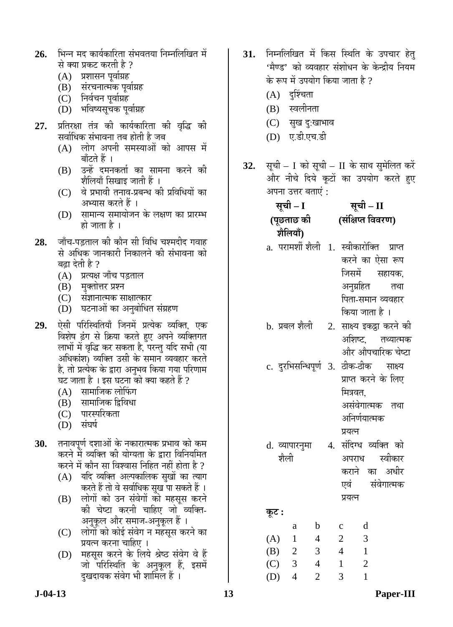- 26. भिन्न मद कार्यकारिता संभवतया निम्नलिखित में से क्या प्रकट करती है ?
	- $(A)$  प्रशासन पूर्वाग्रह
	- (B) संरचनात्मक पूर्वाग्रह
	- (C) निर्वचन पूर्वाग्रह
	- (D) भविष्यसूचक पूर्वाग्रह
- **27.** प्रतिरक्षा तंत्र की कार्यकारिता की वृद्धि की सर्वाधिक संभावना तब होती है जब
	- $(A)$  लोग अपनी समस्याओं को आपस में बाँटते हैं ।
	- (B) उन्हें दमनकर्ता का सामना करने की शैलियाँ सिखाइ जाती हैं ।
	- $(C)$  वे प्रभावी तनाव-प्रबन्ध की प्रविधियों का अभ्यास करते हैं ।
	- $(D)$  सामान्य समायोजन के लक्षण का प्रारम्भ हो जाता है ।
- 28. जाँच-पड़ताल की कौन सी विधि चश्मदीद गवाह से अधिक जानकारी निकालने की संभावना को बढ़ा देती है ?
	- (A) प्रत्यक्ष जॉंच पड़ताल
	- (B) मुक्तोत्तर प्रश्न
	- (C) संज्ञानात्मक साक्षात्कार
	- (D) घटनाओं का अनुबोधित संग्रहण
- 29. ऐसी परिस्थितियाँ जिनमें प्रत्येक व्यक्ति, एक विशेष ढंग से क्रिया करते हुए अपने व्यक्तिगत लाभों में वृद्धि कर सकता है, परन्तु यदि सभी (या अधिकांश) व्यक्ति उसी के समान व्यवहार करते है, तो प्रत्येक के द्वारा अनुभव किया गया परिणाम<br>घट जाता है । इस घटना को क्या कहते हैं ?
	- (A) सामाजिक लोफिंग
	- (B) सामाजिक द्विविधा
	- (C) पारस्परिकता
	- $(D)$  संघर्ष
- **30.** तनावपूर्ण दशाओं के नकारात्मक प्रभाव को कम करने में व्यक्ति की योग्यता के द्वारा विनियमित करने में कौन सा विश्वास निहित नहीं होता है ?
	- $(A)$  यदि व्यक्ति अल्पकालिक सृखों का त्याग करते हैं तो वे सर्वाधिक सुख पा सकते हैं ।
	- (B) लोगों को उन संवेगों को महसूस करने की चेष्टा करनी चाहिए जो व्यक्ति-अनुकूल और समाज-अनुकूल हैं ।
	- (C) लोगों को कोई संवेग न महसूस करने का प्रयत्न करना चाहिए ।
	- (D) महसूस करने के लिये श्रेष्ठ संवेग वे हैं जो परिस्थिति के अनुकुल हैं, इसमे<mark>ं</mark> दखदायक संवेग भी शामिल हैं ।
- 31. निम्नलिखित में किस स्थिति के उपचार हेतु 'मैण्ड' को व्यवहार संशोधन के केन्द्रीय नियम के रूप में उपयोग किया जाता है ?
	- $(A)$  दुर्श्चिता
	- (B) स्वलीनता
	- (C) सुख दु:खाभाव
	- (D) ए.डी.एच.डी
- **32.** सूची I को सूची II के साथ सुमेलित करें और नीचे दिये कुटों का उपयोग करते हुए अपना उत्तर बताएं :

| सूची – I   | सूची – II                                 |  |
|------------|-------------------------------------------|--|
| (पूछताछ की | (संक्षिप्त विवरण)                         |  |
| शैलियाँ)   |                                           |  |
|            | a. परामर्शी शैली 1. स्वीकारोक्ति  प्राप्त |  |
|            | करने का ऐसा रूप                           |  |
|            | जिसमें सहायक,                             |  |
|            | अनुग्रहित तथा                             |  |
|            | पिता-समान व्यवहार                         |  |
|            | किया जाता है ।                            |  |
|            |                                           |  |

- b. प्रबल शैली 2. साक्ष्य इकट्ठा करने की अशिष्ट. तथ्यात्मक और औपचारिक चेष्टा
- c. दुरभिसन्धिपूर्ण 3. ठीक-ठीक साक्ष्य प्राप्त करने के लिए मित्रवत, असंवेगात्मक तथा अनिर्णयात्मक
- प्रयत्न d. व्यापारनुमा श्रौली 4. संदिग्ध व्यक्ति को अपराध स्वीकार
	- कराने का अधीर एवं संवेगात्मक प्रयत्न

<u>क</u>ट : a b c d (A) 1 4 2 3

| (4)     | . . |   |    |                |
|---------|-----|---|----|----------------|
| (B) 2   |     | 3 | 4  |                |
| $(C)$ 3 |     | 4 |    | $\mathbb{Z}^2$ |
| $(D)$ 4 |     | 2 | -3 |                |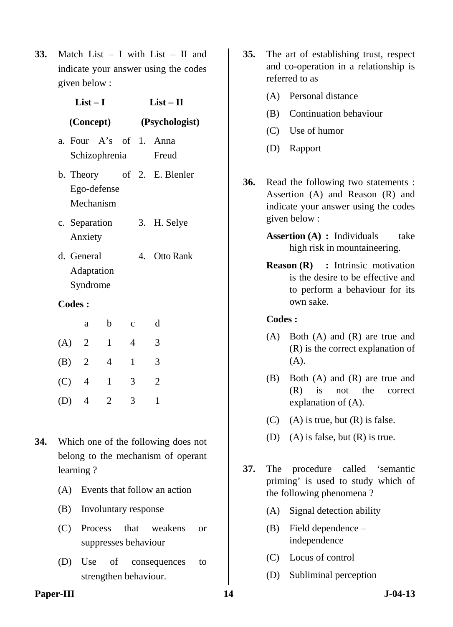**33.** Match List – I with List – II and indicate your answer using the codes given below :

| $List-I$      |                          |                |              | $List-II$      |                                 |  |
|---------------|--------------------------|----------------|--------------|----------------|---------------------------------|--|
| (Concept)     |                          |                |              | (Psychologist) |                                 |  |
|               | Schizophrenia            |                |              |                | a. Four A's of 1. Anna<br>Freud |  |
| b. Theory     | Ego-defense<br>Mechanism |                |              |                | of 2. E. Blenler                |  |
| c. Separation | Anxiety                  |                |              | 3.             | H. Selye                        |  |
| d. General    | Adaptation<br>Syndrome   |                |              |                | 4. Otto Rank                    |  |
| <b>Codes:</b> |                          |                |              |                |                                 |  |
|               | a                        | $\mathbf b$    | $\mathbf c$  |                | d                               |  |
| (A)           | $\overline{2}$           | $\mathbf{1}$   | 4            |                | 3                               |  |
| (B) 2         |                          | $\overline{4}$ | $\mathbf{1}$ |                | 3                               |  |
| $(C)$ 4       |                          | $\mathbf{1}$   | 3            |                | $\overline{2}$                  |  |
| (D)           | 4                        | $\overline{2}$ | 3            |                | $\mathbf{1}$                    |  |

- **34.** Which one of the following does not belong to the mechanism of operant learning ?
	- (A) Events that follow an action
	- (B) Involuntary response
	- (C) Process that weakens or suppresses behaviour
	- (D) Use of consequences to strengthen behaviour.
- **35.** The art of establishing trust, respect and co-operation in a relationship is referred to as
	- (A) Personal distance
	- (B) Continuation behaviour
	- (C) Use of humor
	- (D) Rapport
- **36.** Read the following two statements : Assertion (A) and Reason (R) and indicate your answer using the codes given below :
	- **Assertion (A) : Individuals** take high risk in mountaineering.
	- **Reason (R) :** Intrinsic motivation is the desire to be effective and to perform a behaviour for its own sake.

- (A) Both (A) and (R) are true and (R) is the correct explanation of (A).
- (B) Both (A) and (R) are true and (R) is not the correct explanation of (A).
- $(C)$  (A) is true, but  $(R)$  is false.
- (D) (A) is false, but  $(R)$  is true.
- **37.** The procedure called 'semantic priming' is used to study which of the following phenomena ?
	- (A) Signal detection ability
	- (B) Field dependence independence
	- (C) Locus of control
	- (D) Subliminal perception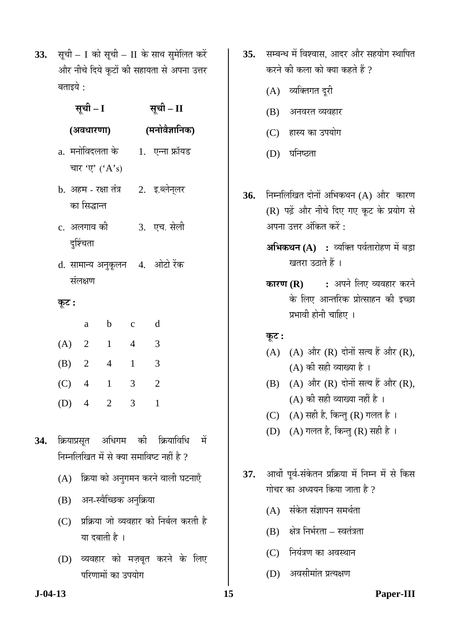33. सूची – I को सूची – II के साथ सुमेलित करें और नीचे दिये कूटों की सहायता से अपना उत्तर बताइये :

| सची – II |
|----------|

# **(´Ö®ÖÖê¾Öî–ÖÖ×®ÖÛú)**

a. मनोविदलता के चार 'ए'  $(A's)$ 1. एन्ना फ्रॉयड

**(†¾Ö¬ÖÖ¸üÞÖÖ)** 

- b. अहम रक्षा तंत्र का सिद्धान्त 2. इ.ब्लेन्लर
- $c<sub>i</sub>$  अलगाव की दर्शिचता 3. एच. सेली
- d. सामान्य अनुकूलन 4. ओटो रेंक संलक्षण

# **Ûæú™ü :**

|         | a              | b              | c | d |
|---------|----------------|----------------|---|---|
| $(A)$ 2 |                | 1              | 4 | 3 |
| (B)     | $\overline{2}$ | 4              | 1 | 3 |
| (C)     | $\overline{4}$ | 1              | 3 | 2 |
| (D)     | 4              | $\overline{2}$ | 3 |   |

- 34. क्रियाप्रसृत अधिगम की क्रियाविधि में निम्नलिखित में से क्या समाविष्ट नहीं है ?
	- $(A)$  क्रिया को अनुगमन करने वाली घटनाएँ
	- $(B)$  अन-स्वैच्छिक अनुक्रिया
	- (C) प्रक्रिया जो व्यवहार को निर्बल करती है या दबाती है ।
	- (D) व्यवहार को मज़बूत करने के लिए परिणामों का उपयोग
- 35. सम्बन्ध में विश्वास, आदर और सहयोग स्थापित करने की कला को क्या कहते हैं ?
	- (A) व्यक्तिगत दूरी
	- $(B)$  अनवरत व्यवहार
	- (C) हास्य का उपयोग
	- (D) घनिष्ठता
- 36. निम्नलिखित दोनों अभिकथन (A) और कारण (R) पढ़ें और नीचे दिए गए कूट के प्रयोग से अपना उत्तर अंकित करें :
	- **अभिकथन (A) :** व्यक्ति पर्वतारोहण में बड़ा खतरा उठाते हैं ।
	- **कारण (R) :** अपने लिए व्यवहार करने के लिए आन्तरिक प्रोत्साहन की इच्छा प्रभावी होनी चाहिए ।

# $\overline{\phi}$ **:**

- $(A)$   $(A)$  और  $(R)$  दोनों सत्य हैं और  $(R)$ ,  $(A)$  की सही व्याख्या है।
- $(B)$   $(A)$  और  $(R)$  दोनों सत्य हैं और  $(R)$ ,  $(A)$  की सही व्याख्या नहीं है ।
- (C)  $(A)$  सही है, किन्तु (R) गलत है।
- (D) (A) गलत है, किन्तु (R) सही है ।
- 37. आर्थो पूर्व-संकेतन प्रक्रिया में निम्न में से किस गोचर का अध्ययन किया जाता है ?
	- $(A)$  संकेत संज्ञापन समर्थता
	- $(B)$  क्षेत्र निर्भरता स्वतंत्रता
	- (C) नियंत्रण का अवस्थान
	- (D) अवसीमांत प्रत्यक्षण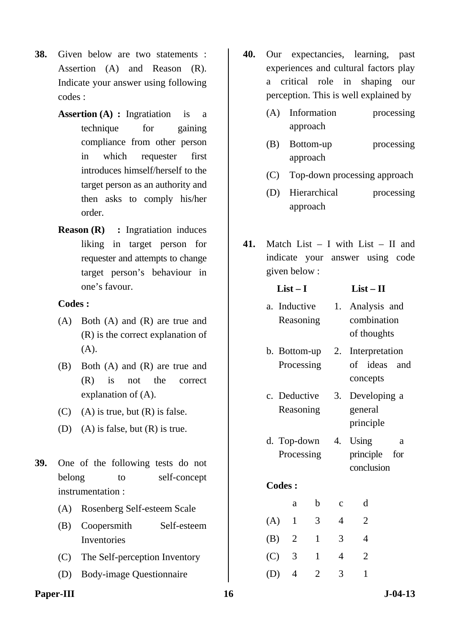- **38.** Given below are two statements : Assertion (A) and Reason (R). Indicate your answer using following codes :
	- **Assertion (A) :** Ingratiation is a technique for gaining compliance from other person in which requester first introduces himself/herself to the target person as an authority and then asks to comply his/her order.
	- **Reason (R)** : Ingratiation induces liking in target person for requester and attempts to change target person's behaviour in one's favour.

- (A) Both (A) and (R) are true and (R) is the correct explanation of (A).
- (B) Both (A) and (R) are true and (R) is not the correct explanation of (A).
- $(C)$  (A) is true, but  $(R)$  is false.
- (D) (A) is false, but  $(R)$  is true.
- **39.** One of the following tests do not belong to self-concept instrumentation :
	- (A) Rosenberg Self-esteem Scale
	- (B) Coopersmith Self-esteem Inventories
	- (C) The Self-perception Inventory
	- (D) Body-image Questionnaire
- **40.** Our expectancies, learning, past experiences and cultural factors play a critical role in shaping our perception. This is well explained by
	- (A) Information processing approach
	- (B) Bottom-up processing approach
	- (C) Top-down processing approach
	- (D) Hierarchical processing approach
- **41.** Match List I with List II and indicate your answer using code given below :

|              |                               |                                                                                  | $List-II$            |                                                                                                                                                                          |
|--------------|-------------------------------|----------------------------------------------------------------------------------|----------------------|--------------------------------------------------------------------------------------------------------------------------------------------------------------------------|
|              |                               |                                                                                  |                      |                                                                                                                                                                          |
|              |                               |                                                                                  | concepts             |                                                                                                                                                                          |
|              |                               | 3.                                                                               | general<br>principle |                                                                                                                                                                          |
| Processing   |                               |                                                                                  |                      | a<br>for                                                                                                                                                                 |
|              |                               |                                                                                  |                      |                                                                                                                                                                          |
| a            | b                             | $\mathbf{C}$                                                                     | d                    |                                                                                                                                                                          |
| $\mathbf{1}$ | 3                             | 4                                                                                | $\overline{2}$       |                                                                                                                                                                          |
|              | $\mathbf{1}$                  | 3                                                                                | 4                    |                                                                                                                                                                          |
| 3            | 1                             | 4                                                                                | 2                    |                                                                                                                                                                          |
|              | <b>Codes:</b><br>(A)<br>(B) 2 | $List-I$<br>a. Inductive<br>Reasoning<br>Processing<br>c. Deductive<br>Reasoning |                      | 1. Analysis and<br>combination<br>of thoughts<br>Interpretation<br>b. Bottom-up $2$ .<br>of ideas and<br>Developing a<br>d. Top-down 4. Using<br>principle<br>conclusion |

(D) 4 2 3 1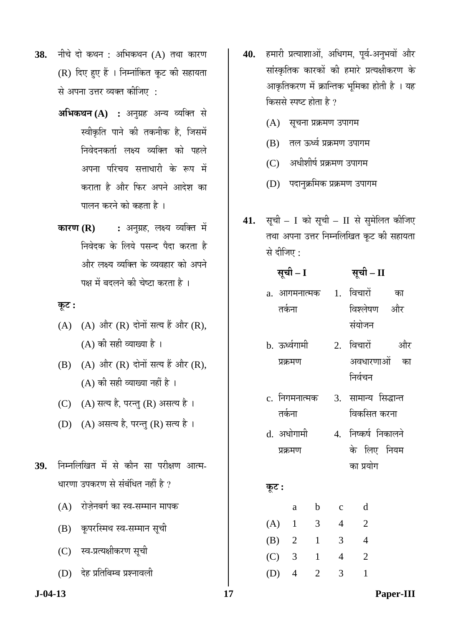- **38.** नीचे दो कथन : अभिकथन (A) तथा कारण  $(R)$  दिए हुए हैं । निम्नांकित कूट की सहायता से अपना उत्तर व्यक्त कीजिए :
	- **अभिकथन (A) :** अनुग्रह अन्य व्यक्ति से स्वीकृति पाने की तकनीक है, जिसमें <u>निवेदनकर्ता लक्ष्य व्यक्ति को पहले</u> अपना परिचय सत्ताधारी के रूप में कराता है और फिर अपने आदेश का <u>पालन करने को कहता है</u> ।
	- **कारण (R) :** अनुग्रह, लक्ष्य व्यक्ति में <u>निवेदक के लिये पसन्द पैदा करता है</u> और लक्ष्य व्यक्ति के व्यवहार को अपने पक्ष में बदलने की चेष्टा करता है ।

### <u>कूट :</u>

- $(A)$   $(A)$  और  $(R)$  दोनों सत्य हैं और  $(R)$ .  $(A)$  की सही व्याख्या है।
- $(B)$   $(A)$  और  $(R)$  दोनों सत्य हैं और  $(R)$ ,  $(A)$  की सही व्याख्या नहीं है ।
- (C)  $(A)$  सत्य है, परन्तु (R) असत्य है।
- (D) (A) असत्य है, परन्तु (R) सत्य है।
- 39. निम्नलिखित में से कौन सा परीक्षण आत्म-धारणा उपकरण से संबंधित नहीं है ?
	- (A) रोजेनबर्ग का स्व-सम्मान मापक
	- (B) कृपरस्मिथ स्व-सम्मान सूची
	- (C) स्व-प्रत्यक्षीकरण सूची
	- (D) देह प्रतिबिम्ब प्रश्नावली
- 40. हमारी प्रत्याशाओं, अधिगम, पूर्व-अनुभवों और सांस्कृतिक कारकों की हमारे प्रत्यक्षीकरण के आकृतिकरण में क्रान्तिक भूमिका होती है । यह किससे स्पष्ट होता है ?
	- (A) सूचना प्रक्रमण उपागम
	- $(B)$  तल ऊर्ध्व प्रक्रमण उपागम
	- (C) अधीशीर्ष प्रक्रमण उपागम
	- (D) पदानुक्रमिक प्रक्रमण उपागम
- 41. सूची I को सूची II से सुमेलित कीजिए तथा अपना उत्तर निम्नलिखित कूट की सहायता से दीजिए :

# **ÃÖæ"Öß – I ÃÖæ"Öß – II**

- a. आगमनात्मक तर्कना 1. विचारों <u>का</u> विश्लेषण और संयोजन
- b. ऊर्ध्वगामी प्रक्रमण 2. विचारों और अवधारणाओं का निर्वचन
- c. निगमनात्मक तर्कना 3. सामान्य सिद्धान्त विकसित करना
- d. अधोगामी प्रक्रमण 4. निष्कर्ष निकालने के लिए नियम का प्रयोग

# **Ûæú™ü :**

|     | a              | b              | c | α  |
|-----|----------------|----------------|---|----|
| (A) | $\mathbf{1}$   | 3              | 4 | 2. |
| (B) | $\overline{2}$ | 1              | 3 |    |
| (C) | $\overline{3}$ | 1              | 4 | 2  |
| (D) | 4              | $\overline{2}$ | 3 |    |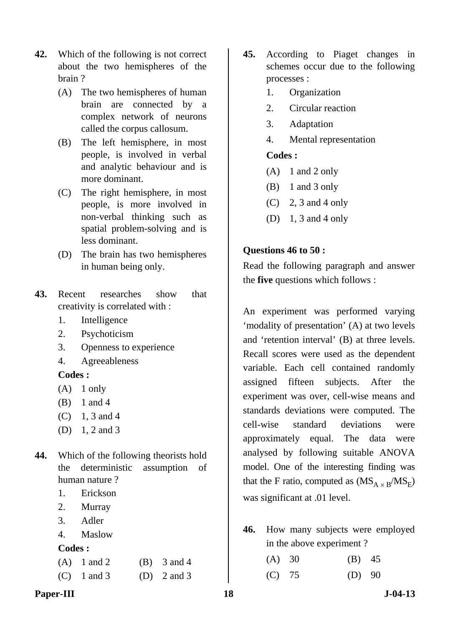- **42.** Which of the following is not correct about the two hemispheres of the brain ?
	- (A) The two hemispheres of human brain are connected by a complex network of neurons called the corpus callosum.
	- (B) The left hemisphere, in most people, is involved in verbal and analytic behaviour and is more dominant.
	- (C) The right hemisphere, in most people, is more involved in non-verbal thinking such as spatial problem-solving and is less dominant.
	- (D) The brain has two hemispheres in human being only.
- **43.** Recent researches show that creativity is correlated with :
	- 1. Intelligence
	- 2. Psychoticism
	- 3. Openness to experience
	- 4. Agreeableness

- $(A)$  1 only
- (B) 1 and 4
- $(C)$  1, 3 and 4
- (D) 1, 2 and 3
- **44.** Which of the following theorists hold the deterministic assumption of human nature ?
	- 1. Erickson
	- 2. Murray
	- 3. Adler
	- 4. Maslow

# **Codes :**

|  | $(A)$ 1 and 2 | $(B)$ 3 and 4   |
|--|---------------|-----------------|
|  | $(C)$ 1 and 3 | (D) $2$ and $3$ |

- **45.** According to Piaget changes in schemes occur due to the following processes :
	- 1. Organization
	- 2. Circular reaction
	- 3. Adaptation
	- 4. Mental representation

# **Codes :**

- $(A)$  1 and 2 only
- (B) 1 and 3 only
- $(C)$  2, 3 and 4 only
- (D) 1, 3 and 4 only

# **Questions 46 to 50 :**

Read the following paragraph and answer the **five** questions which follows :

An experiment was performed varying 'modality of presentation' (A) at two levels and 'retention interval' (B) at three levels. Recall scores were used as the dependent variable. Each cell contained randomly assigned fifteen subjects. After the experiment was over, cell-wise means and standards deviations were computed. The cell-wise standard deviations were approximately equal. The data were analysed by following suitable ANOVA model. One of the interesting finding was that the F ratio, computed as  $(MS_{A \times B}/MS_E)$ was significant at .01 level.

- **46.** How many subjects were employed in the above experiment ?
	- (A) 30 (B) 45
	- (C) 75 (D) 90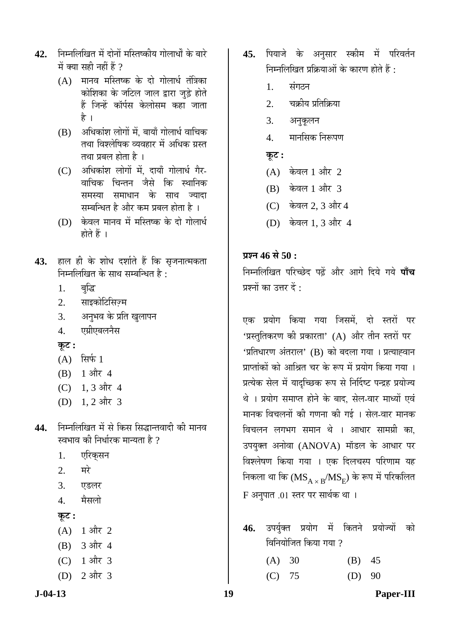- 42. निम्नलिखित में दोनों मस्तिष्कीय गोलार्धों के बारे में क्या सही नहीं हैं ?
	- $(A)$  मानव मस्तिष्क के दो गोलार्ध तंत्रिका कोशिका के जटिल जाल द्वारा जुड़े होते हैं जिन्हें कॉर्पस केलोसम कहा जाता है ।
	- $(B)$  अधिकांश लोगों में. बायाँ गोलार्ध वाचिक तथा विश्लेषिक व्यवहार में अधिक ग्रस्त तथा प्रबल होता है ।
	- (C) अधिकांश लोगों में, दायाँ गोलार्ध गैर-वाचिक चिन्तन जैसे कि स्थानिक .<br>समस्या समाधान के साथ ज्यादा सम्बन्धित है और कम प्रबल होता है ।
	- (D) केवल मानव में मस्तिष्क के दो गोलार्ध होते हैं ।
- 43. हाल ही के शोध दर्शाते हैं कि सृजनात्मकता निम्नलिखित के साथ सम्बन्धित है:
	- 1. बद्धि
	- 2. साइकोटिसिज़्म
	- 3. अनुभव के प्रति खुलापन
	- 4. एग्रीएबलनैस
	- **Ûæú™ü :**
	- $(A)$  सिर्फ 1
	- $(B)$  1 और 4
	- $(C)$  1, 3 और 4
	- (D) 1, 2 और 3
- 44. निम्नलिखित में से किस सिद्धान्तवादी की मानव स्वभाव की निर्धारक मान्यता है ?
	- 1. एरिकसन
	- $2.$  मरे
	- 3. एडलर
	- 4. मैसलो
	- **Ûæú™ü :**
	- $(A)$  1 और 2
	- $(B)$  3 और 4
	- (C) 1 और 3
	- $(D)$  2 और 3
- 45. पियाजे के अनुसार स्कीम में परिवर्तन निम्नलिखित प्रक्रियाओं के कारण होते हैं $\cdot$ 
	- 1. संगठन
	- 2. चक्रीय प्रतिक्रिया
	- 3. अनुकूलन
	- 4. मानसिक निरूपण
	- $\overline{\Phi}$ :
	- $(A)$  केवल 1 और 2
	- (B) केवल 1 और 3
	- $(C)$  केवल 2, 3 और 4
	- (D) केवल 1, 3 और 4

# **THE 46 से 50 :**

 $\hat{a}$  निम्नलिखित परिच्छेद पढें और आगे दिये गये **पाँच** प्रश्नों का उत्तर दें $\cdot$ 

एक प्रयोग किया गया जिसमें. दो स्तरों पर 'प्रस्तुतिकरण की प्रकारता' (A) और तीन स्तरों पर 'प्रतिधारण अंतराल' (B) को बदला गया । प्रत्याह्वान <u>प्राप्तांकों को आश्रित चर के रूप में प्रयोग किया गया ।</u> प्रत्येक सेल में यादच्छिक रूप से निर्दिष्ट पन्द्रह प्रयोज्य थे । प्रयोग समाप्त होने के बाद, सेल-वार माध्यों एवं मानक विचलनों की गणना की गई । सेल-वार मानक विचलन लगभग समान थे । आधार सामग्री का. उपयुक्त अनोवा (ANOVA) मॉडल के आधार पर विश्लेषण किया गया । एक दिलचस्प परिणाम यह निकला था कि  $(MS_{A \times B}/MS_E)$  के रूप में परिकलित F अनुपात .01 स्तर पर सार्थक था ।

46. उपर्युक्त प्रयोग में कितने प्रयोज्यों को विनियोजित किया गया  $\eta$ 

- (A) 30 (B) 45
- (C) 75 (D) 90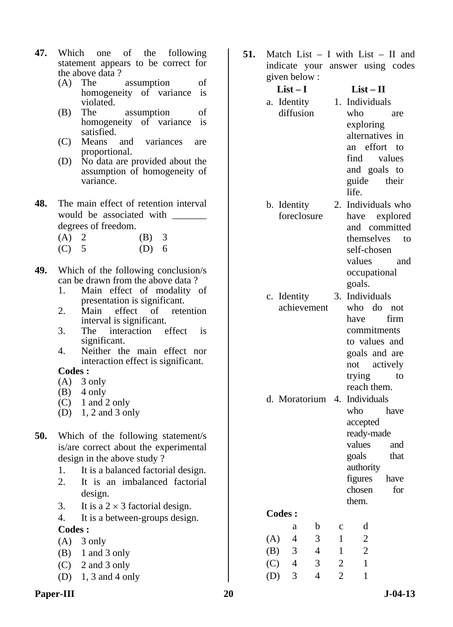- **47.** Which one of the following statement appears to be correct for the above data ?
	- (A) The assumption of homogeneity of variance is violated.
	- (B) The assumption of homogeneity of variance is satisfied.
	- (C) Means and variances are proportional.
	- (D) No data are provided about the assumption of homogeneity of variance.
- **48.** The main effect of retention interval would be associated with degrees of freedom.
	- (A) 2 (B) 3
	- (C) 5 (D) 6
- **49.** Which of the following conclusion/s can be drawn from the above data ?
	- 1. Main effect of modality of presentation is significant.
	- 2. Main effect of retention interval is significant.
	- 3. The interaction effect is significant.
	- 4. Neither the main effect nor interaction effect is significant.

- $(A)$  3 only
- $(B)$  4 only
- $(C)$  1 and 2 only
- (D) 1, 2 and 3 only
- **50.** Which of the following statement/s is/are correct about the experimental design in the above study ?
	- 1. It is a balanced factorial design.
	- 2. It is an imbalanced factorial design.
	- 3. It is a  $2 \times 3$  factorial design.
	- 4. It is a between-groups design.
	- **Codes :**
	- $(A)$  3 only
	- (B) 1 and 3 only
	- (C) 2 and 3 only
	- (D) 1, 3 and 4 only
- Paper-III 20 J-04-13
- **51.** Match List I with List II and indicate your answer using codes given below :
	- **List I List II**  a. Identity diffusion
		-
		- 1. Individuals who are exploring alternatives in an effort to find values and goals to guide their life.
	- b. Identity foreclosure 2. Individuals who have explored
		- and committed themselves to self-chosen values and occupational goals.
	- c. Identity achievement 3. Individuals who do not have firm commitments to values and goals and are
	- not actively trying to reach them. d. Moratorium 4. Individuals who have accepted ready-made values and goals that authority figures have
	- **Codes :**

|     | a | h | с | d |
|-----|---|---|---|---|
| (A) | 4 | 3 |   | 2 |
| (B) | 3 | 4 |   | 2 |
| (C) | 4 | 3 | 2 |   |
| (D) | 3 | 4 | 2 |   |

chosen for

them.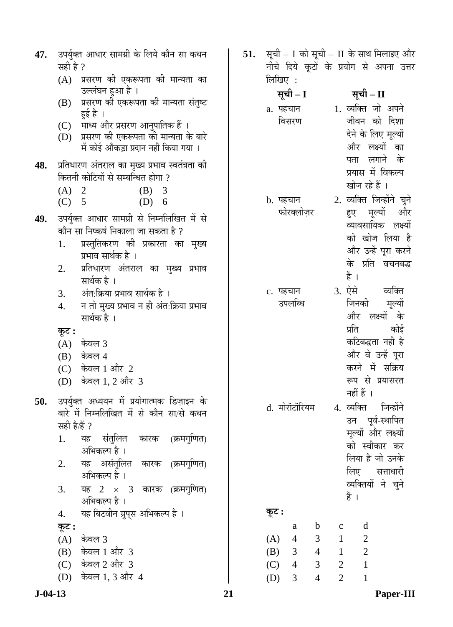| 47.           | सही है ?           | उपर्युक्त आधार सामग्री के लिये कौन सा कथन                                                                               | 51. |               |                |                |                |                                                                        | सूची – I को सूची – II के साथ मिलाइए और<br>नीचे दिये कूटों के प्रयोग से अपना उत्तर |
|---------------|--------------------|-------------------------------------------------------------------------------------------------------------------------|-----|---------------|----------------|----------------|----------------|------------------------------------------------------------------------|-----------------------------------------------------------------------------------|
|               |                    | (A) प्रसरण की एकरूपता की मान्यता का<br>उल्लंघन हुआ है ।                                                                 |     | लिखिए :       | सूची – I       |                |                | सूची – II                                                              |                                                                                   |
|               | (B)                | प्रसरण की एकरूपता की मान्यता संतुष्ट<br>हुई है ।                                                                        |     | a. पहचान      |                |                |                | 1. व्यक्ति जो अपने                                                     |                                                                                   |
|               |                    | (C) माध्य और प्रसरण आनुपातिक हैं ।<br>(D) प्रसरण की एकरूपता की मान्यता के बारे<br>में कोई आँकड़ा प्रदान नहीं किया गया । |     |               | विसरण          |                |                | जीवन को दिशा<br>देने के लिए मूल्यों<br>और लक्ष्यों का                  |                                                                                   |
| 48.           |                    | प्रतिधारण अंतराल का मुख्य प्रभाव स्वतंत्रता की<br>कितनी कोटियों से सम्बन्धित होगा ?                                     |     |               |                |                |                | पता लगाने के<br>प्रयास में विकल्प<br>खोज रहे हैं ।                     |                                                                                   |
|               | (A) 2<br>$(C)$ 5   | (B) 3<br>$(D)$ 6                                                                                                        |     | b. पहचान      |                |                |                |                                                                        | 2. व्यक्ति जिन्होंने चुने                                                         |
| 49.           | 1.                 | उपर्युक्त आधार सामग्री से निम्नलिखित में से<br>कौन सा निष्कर्ष निकाला जा सकता है ?<br>प्रस्तुतिकरण की प्रकारता का मुख्य |     |               | फोरक्लोज़र     |                |                |                                                                        | हुए मूल्यों और<br>व्यावसायिक लक्ष्यों<br>को खोज लिया है                           |
|               | 2.                 | प्रभाव सार्थक है ।<br>प्रतिधारण अंतराल का मुख्य प्रभाव<br>सार्थक है ।                                                   |     |               |                |                |                | हैं ।                                                                  | और उन्हें पूरा करने<br>के प्रति वचनबद्ध                                           |
|               | 3.<br>4.           | अंत:क्रिया प्रभाव सार्थक है ।<br>न तो मुख्य प्रभाव न ही अंत:क्रिया प्रभाव<br>सार्थक है ।                                |     | c. पहचान      | उपलब्धि        |                |                | 3. ऐसे व्यक्ति<br>जिनकी<br>और लक्ष्यों के                              | मूल्यों                                                                           |
|               | कूट :              | $(A)$ केवल 3<br>$(B)$ केवल 4<br>(C) केवल 1 और 2                                                                         |     |               |                |                |                | प्रति<br>कटिबद्धता नहीं है<br>और वे उन्हें पूरा<br>करने में सक्रिय     | कोई                                                                               |
| 50.           | (D)                | केवल 1, 2 और  3<br>उपर्युक्त अध्ययन में प्रयोगात्मक डिज़ाइन के                                                          |     |               |                |                |                | रूप से प्रयासरत<br>नहीं हैं ।                                          |                                                                                   |
|               | सही है/हैं ?<br>1. | बारे में निम्नलिखित में से कौन सा/से कथन<br>यह संतुलित कारक (क्रमगुणित)                                                 |     | d. मोरॉटॉरियम |                |                |                | 4. व्यक्ति<br>उन पूर्व-स्थापित<br>मूल्यों और लक्ष्यों<br>को स्वीकार कर | जिन्होंने                                                                         |
|               | 2.                 | अभिकल्प है ।<br>यह असंतुलित कारक (क्रमगुणित)<br>अभिकल्प है ।                                                            |     |               |                |                |                | लिया है जो उनके<br>लिए सत्ताधारी<br>व्यक्तियों ने चुने                 |                                                                                   |
|               | 3.                 | यह $2 \times 3$ कारक (क्रमगुणित)<br>अभिकल्प है ।                                                                        |     |               |                |                |                | हैं ।                                                                  |                                                                                   |
|               | 4.                 | यह बिटवीन ग्रुप्स अभिकल्प है ।                                                                                          |     | कूट :         | a              | $\mathbf b$    | $\mathbf C$    | d                                                                      |                                                                                   |
|               | कूट :<br>(A)       | केवल 3                                                                                                                  |     | (A)           | $\overline{4}$ | 3              | $\mathbf{1}$   | $\overline{2}$                                                         |                                                                                   |
|               |                    | (B) केवल 1 और 3                                                                                                         |     | (B)           | $\overline{3}$ | $\overline{4}$ | $\mathbf{1}$   | $\sqrt{2}$                                                             |                                                                                   |
|               |                    | (C) केवल 2 और 3                                                                                                         |     | (C)           | $\overline{4}$ | $\mathfrak{Z}$ | $\overline{2}$ | $\mathbf{1}$                                                           |                                                                                   |
|               | (D)                | केवल 1, 3 और 4                                                                                                          |     | (D)           | 3              | $\overline{4}$ | $\overline{2}$ | $\mathbf{1}$                                                           |                                                                                   |
| $J - 04 - 13$ |                    |                                                                                                                         | 21  |               |                |                |                |                                                                        | Paper-III                                                                         |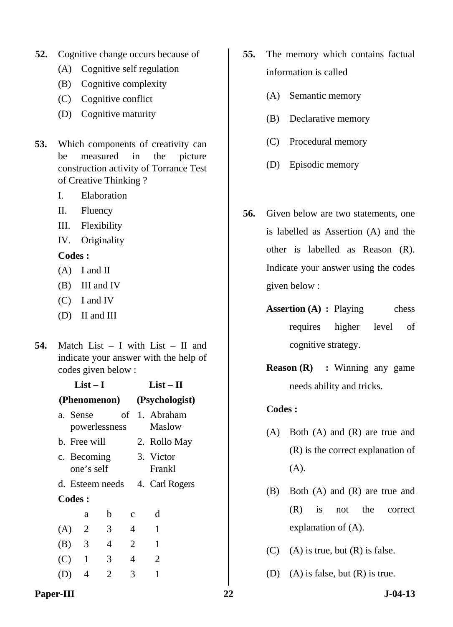- **52.** Cognitive change occurs because of
	- (A) Cognitive self regulation
	- (B) Cognitive complexity
	- (C) Cognitive conflict
	- (D) Cognitive maturity
- **53.** Which components of creativity can be measured in the picture construction activity of Torrance Test of Creative Thinking ?
	- I. Elaboration
	- II. Fluency
	- III. Flexibility
	- IV. Originality

- (A) I and II
- (B) III and IV
- (C) I and IV
- (D) II and III

**List – I** 

**54.** Match List – I with List – II and indicate your answer with the help of codes given below :

| $List-I$ |               |                |                 |             |                | $List-II$      |  |
|----------|---------------|----------------|-----------------|-------------|----------------|----------------|--|
|          |               |                | (Phenomenon)    |             | (Psychologist) |                |  |
|          |               | a. Sense       |                 |             |                | of 1. Abraham  |  |
|          |               |                | powerlessness   |             |                | Maslow         |  |
|          |               | b. Free will   |                 |             |                | 2. Rollo May   |  |
|          |               | c. Becoming    |                 |             |                | 3. Victor      |  |
|          |               | one's self     |                 |             |                | Frankl         |  |
|          |               |                | d. Esteem needs |             |                | 4. Carl Rogers |  |
|          | <b>Codes:</b> |                |                 |             |                |                |  |
|          |               | a              | b               | $\mathbf c$ |                | d              |  |
| (A)      |               | 2              | 3               | 4           |                | 1              |  |
|          | $(B)$ 3       |                | 4               | 2           |                | 1              |  |
| (C)      |               | $\overline{1}$ | 3               | 4           |                | $\overline{2}$ |  |
|          |               | 4              | 2               | 3           |                | 1              |  |
|          |               |                |                 |             |                |                |  |

- **55.** The memory which contains factual information is called
	- (A) Semantic memory
	- (B) Declarative memory
	- (C) Procedural memory
	- (D) Episodic memory
- **56.** Given below are two statements, one is labelled as Assertion (A) and the other is labelled as Reason (R). Indicate your answer using the codes given below :
	- **Assertion (A) : Playing chess** requires higher level of cognitive strategy.
	- **Reason (R)** : Winning any game needs ability and tricks.

- (A) Both (A) and (R) are true and (R) is the correct explanation of  $(A)$ .
- (B) Both (A) and (R) are true and (R) is not the correct explanation of (A).
- $(C)$  (A) is true, but  $(R)$  is false.
- (D) (A) is false, but (R) is true.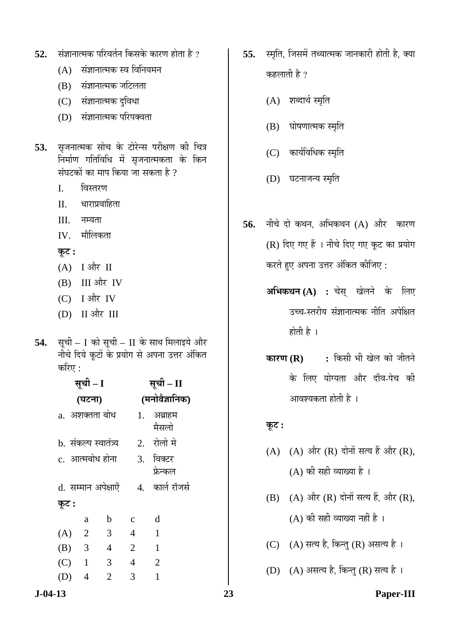- **52.** संज्ञानात्मक परिवर्तन किसके कारण होता है ?
	- $(A)$  संज्ञानात्मक स्व विनियमन
	- $(B)$  संज्ञानात्मक जटिलता
	- (C) संज्ञानात्मक दुविधा
	- (D) संज्ञानात्मक परिपक्वता
- 53. सृजनात्मक सोच के टोरेन्स परीक्षण की चित्र <u>निर्माण गतिविधि में सृजनात्मकता के किन</u> संघटकों का माप किया जा सकता है ?
	- I. विस्तरण
	- $II.$  धाराप्रवाहिता
	- $III.$   $\overline{q}$  $\overline{r}$
	- $IV.$  मौलिकता

#### $\overline{\phi}$ **:**

- $(A)$  I और II
- $(B)$  III और IV
- $(C)$  I और IV
- $(D)$  II और III
- **54.** सूची I को सूची II के साथ मिलाइये और नीचे दिये कूटों के प्रयोग से अपना उत्तर अंकित करिए $:$

|       |                | सूची – I               |                |                | सूची – II             |
|-------|----------------|------------------------|----------------|----------------|-----------------------|
|       |                | (घटना)                 |                |                | (मनोवैज्ञानिक)        |
|       |                | a.  अशक्तता बोध        |                |                | 1. अब्राहम<br>मैसलो   |
|       |                | b.  संकल्प स्वातंत्र्य |                |                | 2. रोलो मे            |
|       |                | c. आत्मबोध होना        |                |                | 3. विक्टर<br>फ्रेन्कल |
| कूट : |                | d. सम्मान अपेक्षाएँ    |                |                | 4. कार्ल रॉजर्स       |
|       |                | a                      | b              | $\mathbf c$    | d                     |
| (A)   | $\overline{2}$ |                        | 3              | $\overline{4}$ | $\mathbf{1}$          |
| (B)   | 3              |                        | $\overline{4}$ | $\overline{2}$ | $\mathbf{1}$          |
| (C)   | $\overline{1}$ |                        | 3              | $\overline{4}$ | $\overline{2}$        |
|       |                | $\overline{4}$         | $\overline{2}$ | 3              | $\mathbf{1}$          |

- **55.** स्मृति, जिसमें तथ्यात्मक जानकारी होती है, क्या कहलाती है ?
	- (A) शब्दार्थ स्मृति
	- (B) घोषणात्मक स्मृति
	- $(C)$  कार्यविधिक स्मृति
	- (D) घटनाजन्य स्मृति
- **56.** नीचे दो कथन. अभिकथन (A) और कारण (R) दिए गए हैं । नीचे दिए गए कूट का प्रयोग करते हुए अपना उत्तर अंकित कीजिए :
	- **अभिकथन (A) :** चेस् खेलने के लिए उच्च-स्तरीय संज्ञानात्मक नीति अपेक्षित होती है $\perp$
	- **कारण (R) : कि**सी भी खेल को जीतने के लिए योग्यता और दाँव-पेच की आवश्यकता होती है ।

### $\overline{\phi}$ **:**

- (A)  $(A)$  और  $(R)$  दोनों सत्य हैं और  $(R)$ ,  $(A)$  की सही व्याख्या है ।
- $(B)$   $(A)$  और  $(R)$  दोनों सत्य हैं, और  $(R)$ ,  $(A)$  की सही व्याख्या नहीं है।
- $(C)$   $(A)$  सत्य है, किन्तु  $(R)$  असत्य है ।
- (D)  $(A)$  असत्य है, किन्तु (R) सत्य है।

**J-04-13 23 Paper-III**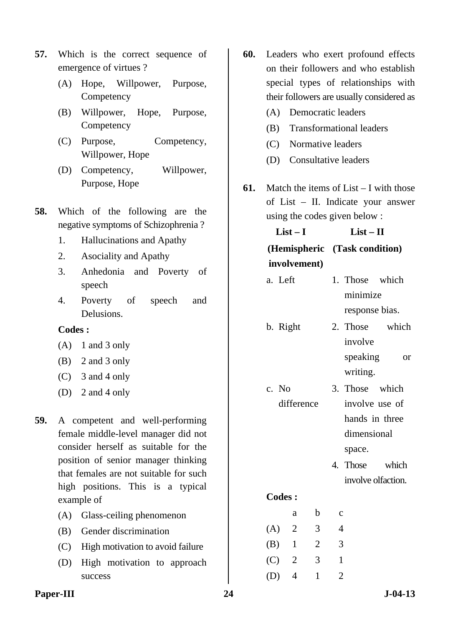- **57.** Which is the correct sequence of emergence of virtues ?
	- (A) Hope, Willpower, Purpose, **Competency**
	- (B) Willpower, Hope, Purpose, **Competency**
	- (C) Purpose, Competency, Willpower, Hope
	- (D) Competency, Willpower, Purpose, Hope
- **58.** Which of the following are the negative symptoms of Schizophrenia ?
	- 1. Hallucinations and Apathy
	- 2. Asociality and Apathy
	- 3. Anhedonia and Poverty of speech
	- 4. Poverty of speech and Delusions.

- (A) 1 and 3 only
- (B) 2 and 3 only
- (C) 3 and 4 only
- (D) 2 and 4 only
- **59.** A competent and well-performing female middle-level manager did not consider herself as suitable for the position of senior manager thinking that females are not suitable for such high positions. This is a typical example of
	- (A) Glass-ceiling phenomenon
	- (B) Gender discrimination
	- (C) High motivation to avoid failure
	- (D) High motivation to approach success
- **60.** Leaders who exert profound effects on their followers and who establish special types of relationships with their followers are usually considered as
	- (A) Democratic leaders
	- (B) Transformational leaders
	- (C) Normative leaders
	- (D) Consultative leaders
- **61.** Match the items of List I with those of List – II. Indicate your answer using the codes given below :

| $List-I$     | $List - II$                   |
|--------------|-------------------------------|
|              | (Hemispheric (Task condition) |
| involvement) |                               |

- a. Left 1. Those which minimize response bias.
- b. Right 2. Those which involve speaking or writing.
- c. No difference 3. Those which involve use of hands in three dimensional space.
	- 4. Those which involve olfaction.

|     | a              | b | c |
|-----|----------------|---|---|
| (A) | $\overline{2}$ | 3 | 4 |
| (B) | 1              | 2 | 3 |
| (C) | 2              | 3 | 1 |
| (D) | 4              | 1 | 2 |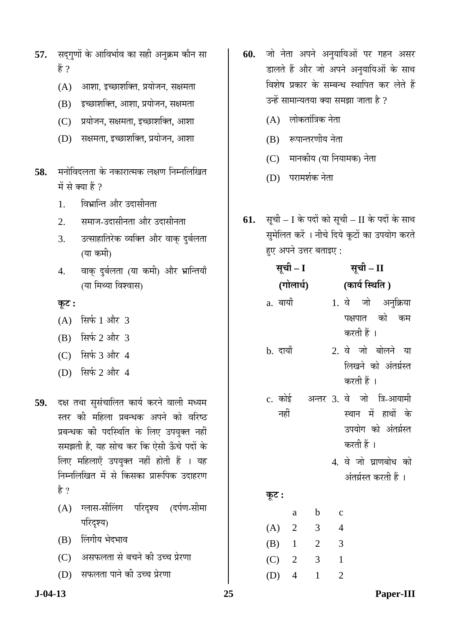- 57. सद्गुणों के आविर्भाव का सही अनुक्रम कौन सा हें ?
	- $(A)$  आशा, इच्छाशक्ति, प्रयोजन, सक्षमता
	- $(B)$  इच्छाशक्ति, आशा, प्रयोजन, सक्षमता
	- (C) प्रयोजन, सक्षमता, इच्छाशक्ति, आशा
	- $(D)$  सक्षमता, इच्छाशक्ति, प्रयोजन, आशा
- **58.** मनोविदलता के नकारात्मक लक्षण निम्नलिखित में से क्या हैं ?
	- 1. विभ्रान्ति और उदासीनता
	- 2. समाज-उदासीनता और उदासीनता
	- 3. उत्साहातिरेक व्यक्ति और वाक् दुर्बलता (या कमी)
	- 4. वाक् दुर्बलता (या कमी) और भ्रान्तियाँ (या मिथ्या विश्वास)

 $\overline{\phi}$ **:** 

- $(A)$  सिर्फ 1 और 3
- $(B)$  सिर्फ 2 और 3
- $(C)$  सिर्फ 3 और 4
- (D) सिर्फ 2 और 4
- 59. दक्ष तथा सुसंचालित कार्य करने वाली मध्यम स्तर की महिला प्रबन्धक अपने को वरिष्ठ प्रबन्धक की पदस्थिति के लिए उपयुक्त नहीं समझती है, यह सोच कर कि ऐसी ऊँचे पदों के लिए महिलाएँ उपयुक्त नहीं होती हैं । यह निम्नलिखित में से किसका प्रारूपिक उदाहरण है $?$ 
	- (A) ग्लास-सीलिंग परिदृश्य (दर्पण-सीमा परिदश्य)
	- (B) लिंगीय भेदभाव
	- (C) जसफलता से बचने की उच्च प्रेरणा
	- (D) सफलता पाने की उच्च प्रेरणा
- 60. जो नेता अपने अनुयायिओं पर गहन असर डालते हैं और जो अपने अनुयायिओं के साथ विशेष प्रकार के सम्बन्ध स्थापित कर लेते हैं उन्हें सामान्यतया क्या समझा जाता है ?
	- $(A)$  लोकतांत्रिक नेता
	- $(B)$  रूपान्तरणीय नेता
	- (C) मानकीय (या नियामक) नेता
	- (D) परामर्शक नेता
- **61.** सूची I के पदों को सूची II के पदों के साथ सुमेलित करें । नीचे दिये कूटों का उपयोग करते हए अपने उत्तर बताइए :

|          | सूची – I       |                          | सूची – II                            |  |  |  |
|----------|----------------|--------------------------|--------------------------------------|--|--|--|
|          | (गोलार्ध)      |                          | (कार्य स्थिति )                      |  |  |  |
| a. बायाँ |                |                          | 1. वे जो अनुक्रिया                   |  |  |  |
|          |                |                          | पक्षपात को कम                        |  |  |  |
|          |                |                          | करती हैं ।                           |  |  |  |
| b. दायाँ |                |                          | 2. वे जो बोलने या                    |  |  |  |
|          |                |                          | लिखने को अंतर्ग्रस्त                 |  |  |  |
|          |                |                          | करती हैं ।                           |  |  |  |
|          |                |                          | c. कोई   अन्तर 3. वे  जो  त्रि-आयामी |  |  |  |
|          | नहीं           |                          | स्थान में हाथों के                   |  |  |  |
|          |                |                          | उपयोग को अंतर्ग्रस्त                 |  |  |  |
|          |                |                          | करती हैं ।                           |  |  |  |
|          |                |                          | 4. वे जो घ्राणबोध को                 |  |  |  |
|          |                |                          | अंतर्ग्रस्त करती हैं ।               |  |  |  |
| कूट :    |                |                          |                                      |  |  |  |
|          | a              | $\mathbf{b}$             | $\mathbf{C}$                         |  |  |  |
|          | (A) 2          | $\overline{\phantom{a}}$ | $\overline{4}$                       |  |  |  |
|          | $(B)$ 1        | $\overline{\phantom{a}}$ | $\overline{\mathbf{3}}$              |  |  |  |
|          | $(C)$ 2        | $\mathfrak{Z}$           | $\mathbf{1}$                         |  |  |  |
| (D)      | $\overline{4}$ | 1                        | $\overline{c}$                       |  |  |  |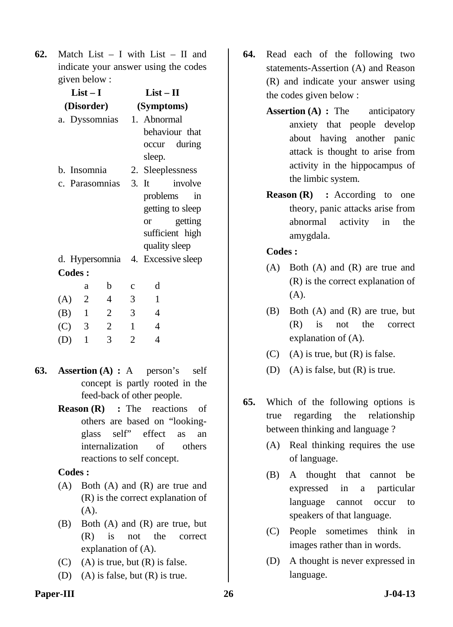**62.** Match List – I with List – II and indicate your answer using the codes given below :

|               | $List-I$       |                |                | $List-II$                         |  |  |
|---------------|----------------|----------------|----------------|-----------------------------------|--|--|
|               |                | (Disorder)     | (Symptoms)     |                                   |  |  |
|               |                | a. Dyssomnias  |                | 1. Abnormal                       |  |  |
|               |                |                |                | behaviour that                    |  |  |
|               |                |                |                | occur during                      |  |  |
|               |                |                |                | sleep.                            |  |  |
|               | b. Insomnia    |                |                | 2. Sleeplessness                  |  |  |
|               |                |                |                | c. Parasomnias 3. It involve      |  |  |
|               |                |                |                | problems in                       |  |  |
|               |                |                |                | getting to sleep                  |  |  |
|               |                |                |                | or getting                        |  |  |
|               |                |                |                | sufficient high                   |  |  |
|               |                |                |                | quality sleep                     |  |  |
|               |                |                |                | d. Hypersomnia 4. Excessive sleep |  |  |
| <b>Codes:</b> |                |                |                |                                   |  |  |
|               | a              | b              | $\mathbf{C}$   | d                                 |  |  |
| (A)           | $\overline{2}$ | $\overline{4}$ | 3              | 1                                 |  |  |
| (B)           | $\mathbf{1}$   | $\overline{2}$ | 3              | $\overline{4}$                    |  |  |
| (C) 3         |                | $\mathfrak{2}$ | $\mathbf{1}$   | $\overline{4}$                    |  |  |
| (D)           | $\mathbf{1}$   | 3              | $\overline{2}$ | 4                                 |  |  |

- **63. Assertion (A) :** A person's self concept is partly rooted in the feed-back of other people.
	- **Reason (R)** : The reactions of others are based on "lookingglass self" effect as an internalization of others reactions to self concept.

### **Codes :**

- (A) Both (A) and (R) are true and (R) is the correct explanation of (A).
- (B) Both (A) and (R) are true, but (R) is not the correct explanation of (A).
- (C) (A) is true, but  $(R)$  is false.
- (D) (A) is false, but (R) is true.
- **64.** Read each of the following two statements-Assertion (A) and Reason (R) and indicate your answer using the codes given below :
	- **Assertion (A) :** The anticipatory anxiety that people develop about having another panic attack is thought to arise from activity in the hippocampus of the limbic system.
	- **Reason (R)** : According to one theory, panic attacks arise from abnormal activity in the amygdala.

- (A) Both (A) and (R) are true and (R) is the correct explanation of (A).
- (B) Both (A) and (R) are true, but (R) is not the correct explanation of (A).
- $(C)$  (A) is true, but  $(R)$  is false.
- (D) (A) is false, but  $(R)$  is true.
- **65.** Which of the following options is true regarding the relationship between thinking and language ?
	- (A) Real thinking requires the use of language.
	- (B) A thought that cannot be expressed in a particular language cannot occur to speakers of that language.
	- (C) People sometimes think in images rather than in words.
	- (D) A thought is never expressed in language.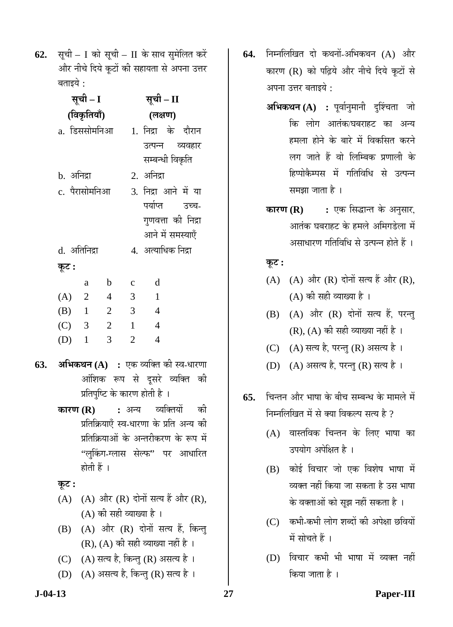**62.** सूची – I को सूची – II के साथ सुमेलित करें और नीचे दिये कूटों की सहायता से अपना उत्तर बताइये:

| सूची – I   |                        |                |                | सूची – II           |                         |
|------------|------------------------|----------------|----------------|---------------------|-------------------------|
|            | (विकृतियाँ)            |                |                | (लक्षण)             |                         |
|            | a. डिससोमनिआ           |                |                |                     | 1. निद्रा के दौरान      |
|            |                        |                |                |                     | उत्पन्न व्यवहार         |
|            |                        |                |                | सम्बन्धी विकृति     |                         |
| b. अनिद्रा |                        |                |                | 2. अनिद्रा          |                         |
|            | c. पैरासोमनिआ          |                |                |                     | 3. निद्रा आने में या    |
|            |                        |                |                |                     | पर्याप्त उच्च-          |
|            |                        |                |                |                     | गुणवत्ता की निद्रा      |
|            |                        |                |                |                     | आने में समस्याएँ        |
|            | d. अतिनिद्रा           |                |                | 4.  अत्याधिक निद्रा |                         |
| कूट :      |                        |                |                |                     |                         |
|            | a                      | $\mathbf b$    | $\mathbf{C}$   | d                   |                         |
| $(A)$ 2    |                        | $\overline{4}$ | 3              | $\overline{1}$      |                         |
| $(B)$ 1    |                        | $\overline{2}$ | $\overline{3}$ | $\overline{4}$      |                         |
| $(C)$ 3    |                        | $\overline{2}$ | $\overline{1}$ | $\overline{4}$      |                         |
| $(D)$ 1    |                        | 3              | $\overline{2}$ | $\overline{4}$      |                         |
|            | $\gamma$ Hormory $(A)$ |                |                |                     | ਸਤਾ ਤਸਤਿਤ ਹੁੰਦੇ ਸਭ ਆਸ਼ਾ |

- **63. अभिकथन (A) :** एक व्यक्ति की स्व-धारणा आंशिक रूप से दूसरे व्यक्ति की प्रतिपुष्टि के कारण होती है ।
	- **कारण (R) :** अन्य व्यक्तियों की प्रतिक्रियाएँ स्व-धारणा के प्रति अन्य की प्रतिक्रियाओं के अन्तरीकरण के रूप में "लकिंग-ग्लास सेल्फ" पर आधारित होती हैं ।

**Ûæú™ü :**

- (A) (A) और  $(R)$  दोनों सत्य हैं और  $(R)$ ,  $(A)$  की सही व्याख्या है।
- $(B)$   $(A)$  और  $(R)$  दोनों सत्य हैं, किन्तु  $(R)$ ,  $(A)$  की सही व्याख्या नहीं है।
- (C)  $(A)$  सत्य है, किन्तु (R) असत्य है।
- (D) (A) असत्य है, किन्तु (R) सत्य है।
- 64. निम्नलिखित दो कथनों-अभिकथन (A) और कारण (R) को पढ़िये और नीचे दिये कूटों से अपना उत्तर बताइये  $\cdot$ 
	- **अभिकथन (A) :** पूर्वानुमानी दुश्चिंता जो <u>कि लोग आतंक/घबराहट का अन्य</u> हमला होने के बारे में विकसित करने लग जाते हैं वो लिम्बिक प्रणाली के हिप्पोकैम्पस में गतिविधि से उत्पन्न समझा जाता है ।
	- **कारण (R) :** एक सिद्धान्त के अनुसार, आतंक घबराहट के हमले अमिगडेला में असाधारण गतिविधि से उत्पन्न होते हैं ।

# $\Phi$ **:**

- (A)  $(A)$  और  $(R)$  दोनों सत्य हैं और  $(R)$ ,  $(A)$  की सही व्याख्या है ।
- $(B)$   $(A)$  और  $(R)$  दोनों सत्य हैं, परन्तु  $(R)$ ,  $(A)$  की सही व्याख्या नहीं है ।
- (C) (A) सत्य है, परन्तु (R) असत्य है।
- (D) (A) असत्य है, परन्तु (R) सत्य है।
- **65.** चिन्तन और भाषा के बीच सम्बन्ध के मामले में निम्नलिखित में से क्या विकल्प सत्य है ?
	- (A) वास्तविक चिन्तन के लिए भाषा का उपयोग अपेक्षित है ।
	- $(B)$  कोई विचार जो एक विशेष भाषा में व्यक्त नहीं किया जा सकता है उस भाषा के वक्ताओं को सुझ नहीं सकता है ।
	- $(C)$  कभी-कभी लोग शब्दों की अपेक्षा छवियों  $\vec{H}$  सोचते हैं ।
	- (D) विचार कभी भी भाषा में व्यक्त नहीं किया जाता है ।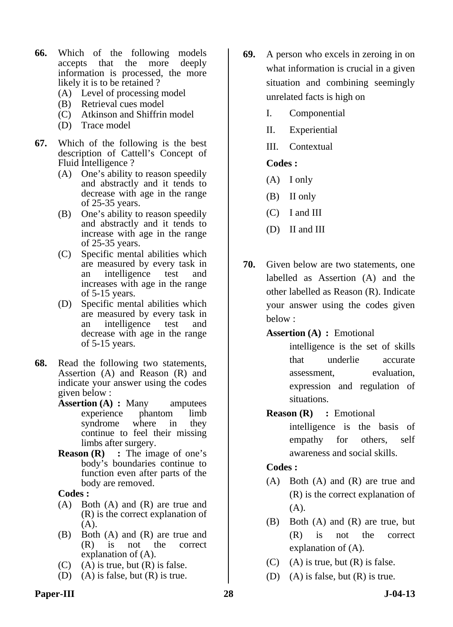- **66.** Which of the following models accepts that the more deeply information is processed, the more likely it is to be retained ?
	- (A) Level of processing model
	- (B) Retrieval cues model
	- (C) Atkinson and Shiffrin model
	- (D) Trace model
- **67.** Which of the following is the best description of Cattell's Concept of Fluid Intelligence ?
	- (A) One's ability to reason speedily and abstractly and it tends to decrease with age in the range of 25-35 years.
	- (B) One's ability to reason speedily and abstractly and it tends to increase with age in the range of 25-35 years.
	- (C) Specific mental abilities which are measured by every task in an intelligence test and increases with age in the range of 5-15 years.
	- (D) Specific mental abilities which are measured by every task in an intelligence test and decrease with age in the range of 5-15 years.
- **68.** Read the following two statements, Assertion (A) and Reason (R) and indicate your answer using the codes given below :
	- **Assertion (A) : Many** amputees experience phantom limb syndrome where in they continue to feel their missing limbs after surgery.
	- **Reason (R)** : The image of one's body's boundaries continue to function even after parts of the body are removed.

- (A) Both (A) and (R) are true and (R) is the correct explanation of  $(A)$ .
- (B) Both (A) and (R) are true and (R) is not the correct explanation of (A).
- (C) (A) is true, but  $(R)$  is false.
- (D) (A) is false, but  $(R)$  is true.
- **69.** A person who excels in zeroing in on what information is crucial in a given situation and combining seemingly unrelated facts is high on
	- I. Componential
	- II. Experiential
	- III. Contextual

# **Codes :**

- (A) I only
- (B) II only
- (C) I and III
- (D) II and III
- **70.** Given below are two statements, one labelled as Assertion (A) and the other labelled as Reason (R). Indicate your answer using the codes given below :

### **Assertion (A) :** Emotional

intelligence is the set of skills that underlie accurate assessment, evaluation, expression and regulation of situations.

# **Reason (R)** : Emotional

intelligence is the basis of empathy for others, self awareness and social skills.

- (A) Both (A) and (R) are true and (R) is the correct explanation of  $(A).$
- (B) Both (A) and (R) are true, but (R) is not the correct explanation of (A).
- (C) (A) is true, but  $(R)$  is false.
- (D) (A) is false, but (R) is true.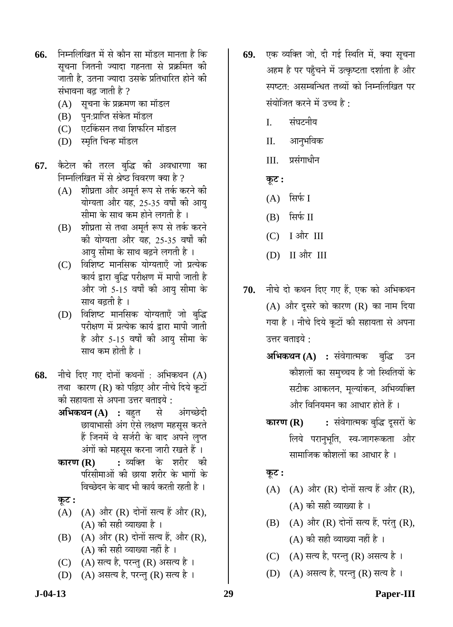- **66.** निम्नलिखित में से कौन सा मॉडल मानता है कि सूचना जितनी ज्यादा गहनता से प्रक्रमित क<mark>ी</mark> <u>जाती है, उतना ज्यादा उसके प्रतिधारित होने की</u> संभावना बढ जाती है  $\,$ 
	- (A) सूचना के प्रक्रमण का मॉडल
	- (B) पुन:प्राप्ति संकेत मॉडल
	- (C) एटकिंसन तथा शिफरिन मॉडल
	- (D) स्मृति चिन्ह मॉडल
- 67. कैटेल की तरल बुद्धि की अवधारणा का निम्नलिखित में से श्रेष्ठ विवरण क्या है ?
	- (A) शीघ्रता और अमूर्त रूप से तर्क करने की योग्यता और यह, 25-35 वर्षों की आयु सीमा के साथ कम होने लगती है ।
	- (B) शीघ्रता से तथा अमर्त रूप से तर्क करने की योग्यता और यह 25-35 वर्षों की आयु सीमा के साथ बढ़ने लगती है ।
	- (C) विशिष्ट मानसिक योग्यताएँ जो प्रत्येक कार्य द्वारा बद्धि परीक्षण में मापी जाती है और जो 5-15 वर्षों की आयु सीमा के साथ बढती है ।
	- (D) विशिष्ट मानसिक योग्यताएँ जो बुद्धि परीक्षण में प्रत्येक कार्य द्वारा मापी जाती है और 5-15 वर्षों की आयु सीमा के साथ कम होती है ।
- **68.** नीचे दिए गए दोनों कथनों : अभिकथन (A) तथा कारण (R) को पढ़िए और नीचे दिये कूटों ेकी सहायता से अपना उत्तर बताइये :
	- **अभिकथन (A) :** बहुत से अंगच्छेदी छायाभासी अंग ऐसे लक्षण महसूस करते हैं जिनमें वे सर्जरी के बाद अपने लुप्त ऑगों को महसूस करना जारी रखते हैं ।
	- **कारण (R) :** व्यक्ति के शरीर की परिसीमाओं की छाया शरीर के भागों के विच्छेदन के बाद भी कार्य करती रहती है ।
	- <u>कूट :</u>
	- $(A)$   $(A)$   $\forall$  और  $(R)$  दोनों सत्य हैं और  $(R)$ , (A) की सही व्याख्या है ।
	- $(B)$   $(A)$  और  $(R)$  दोनों सत्य हैं, और  $(R)$ , (A) की सही व्याख्या नहीं है ।
	- $(C)$   $(A)$  सत्य है, परन्तु  $(R)$  असत्य है ।
	- (D)  $(A)$  असत्य है, परन्तु (R) सत्य है ।
- 69. एक व्यक्ति जो, दी गई स्थिति में, क्या सूचना अहम है पर पहुँचने में उत्कृष्टता दर्शाता है और स्पष्टत: असम्बन्धित तथ्यों को निम्नलिखित पर संयोजित करने में उच्च है $\cdot$ 
	- I. संघटनीय
	- II. आनुभविक
	- III. प्रसंगाधीन
	- $\overline{\phi}$ **:**
	- $(A)$  सिर्फ I
	- $(B)$  सिर्फ II
	- (C) I और III
	- $(D)$  II और III
- 70. नीचे दो कथन दिए गए हैं. एक को अभिकथन (A) और दूसरे को कारण (R) का नाम दिया गया है । नीचे दिये कूटों की सहायता से अपना उत्तर बताइये :
	- **अभिकथन (A) :** संवेगात्मक बुद्धि उन कौशलों का समुच्चय है जो स्थितियों के सटीक आकलन, मूल्यांकन, अभिव्यक्ति और विनियमन का आधार होते हैं ।
	- **कारण (R) :** संवेगात्मक बुद्धि दूसरों के लिये परानभति, स्व-जागरूकता और सामाजिक कौशलों का आधार है ।

# $\Phi$ **:**

- $(A)$   $(A)$  और  $(R)$  दोनों सत्य हैं और  $(R)$ ,  $(A)$  की सही व्याख्या है ।
- $(B)$   $(A)$  और  $(R)$  दोनों सत्य हैं, परंतु  $(R)$ ,  $(A)$  की सही व्याख्या नहीं है ।
- $(C)$   $(A)$  सत्य है, परन्तु  $(R)$  असत्य है ।
- (D) (A) असत्य है, परन्तु (R) सत्य है।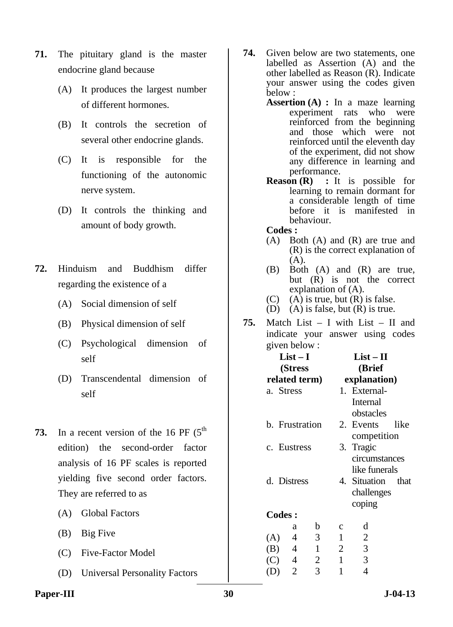- **71.** The pituitary gland is the master endocrine gland because
	- (A) It produces the largest number of different hormones.
	- (B) It controls the secretion of several other endocrine glands.
	- (C) It is responsible for the functioning of the autonomic nerve system.
	- (D) It controls the thinking and amount of body growth.
- **72.** Hinduism and Buddhism differ regarding the existence of a
	- (A) Social dimension of self
	- (B) Physical dimension of self
	- (C) Psychological dimension of self
	- (D) Transcendental dimension of self
- **73.** In a recent version of the 16 PF (5<sup>th</sup>) edition) the second-order factor analysis of 16 PF scales is reported yielding five second order factors. They are referred to as
	- (A) Global Factors
	- (B) Big Five
	- (C) Five-Factor Model
	- (D) Universal Personality Factors
- **74.** Given below are two statements, one labelled as Assertion (A) and the other labelled as Reason (R). Indicate your answer using the codes given below :
	- **Assertion (A) :** In a maze learning experiment rats who were reinforced from the beginning and those which were not reinforced until the eleventh day of the experiment, did not show any difference in learning and performance.
	- **Reason (R) :** It is possible for learning to remain dormant for a considerable length of time before it is manifested in behaviour.
	- **Codes :**
	- (A) Both (A) and (R) are true and (R) is the correct explanation of (A).
	- (B) Both (A) and (R) are true, but (R) is not the correct explanation of (A).
	- (C) (A) is true, but  $(R)$  is false.
	- (D) (A) is false, but  $(R)$  is true.
- **75.** Match List I with List II and indicate your answer using codes given below :

|     | $List-I$       |              | $List-II$      |                |      |  |  |
|-----|----------------|--------------|----------------|----------------|------|--|--|
|     | (Stress        |              |                | (Brief         |      |  |  |
|     | related term)  |              |                | explanation)   |      |  |  |
|     | a. Stress      |              |                | 1. External-   |      |  |  |
|     |                |              |                | Internal       |      |  |  |
|     |                |              |                | obstacles      |      |  |  |
|     | b. Frustration |              |                | 2. Events      | like |  |  |
|     |                |              |                | competition    |      |  |  |
|     | c. Eustress    |              |                | 3. Tragic      |      |  |  |
|     |                |              |                | circumstances  |      |  |  |
|     |                |              |                | like funerals  |      |  |  |
|     | d. Distress    |              |                | 4. Situation   | that |  |  |
|     |                |              |                | challenges     |      |  |  |
|     |                |              |                | coping         |      |  |  |
|     | <b>Codes:</b>  |              |                |                |      |  |  |
|     | a              | b            | $\mathbf c$    | d              |      |  |  |
| (A) | 4              | 3            | 1              | $\mathbf{2}$   |      |  |  |
| (B) | 4              | $\mathbf{1}$ | $\overline{2}$ | $\mathfrak{Z}$ |      |  |  |
| (C) | 4              | $\mathbf{2}$ | 1              | $\mathfrak{Z}$ |      |  |  |
| (D) | $\overline{2}$ | 3            | 1              | 4              |      |  |  |

Paper-III 30 J-04-13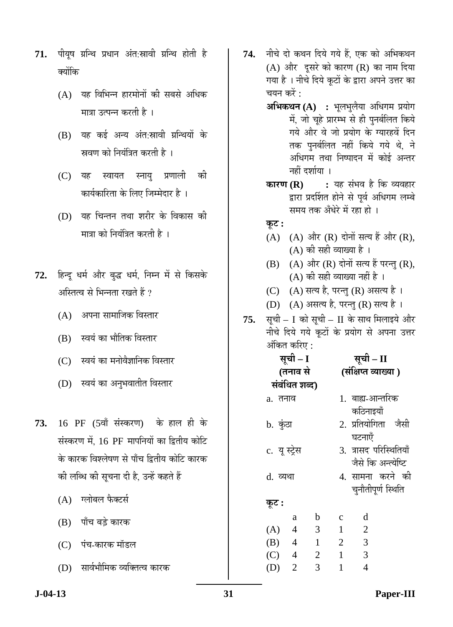- 71. पीयूष ग्रन्थि प्रधान अंत:स्रावी ग्रन्थि होती है क्योंकि
	- $(A)$  यह विभिन्न हारमोनों की सबसे अधिक मात्रा उत्पन्न करती है ।
	- $(B)$  यह कई अन्य अंत:स्रावी ग्रन्थियों के स्रवण को नियंत्रित करती है ।
	- (C) यह स्वायत स्नाय प्रणाली की ेकार्यकारिता के लिए जिम्मेदार है)।
	- $(D)$  यह चिन्तन तथा शरीर के विकास की मात्रा को नियंत्रित करती है ।
- 72. हिन्दु धर्म और बुद्ध धर्म, निम्न में से किसके अस्तित्व से भिन्नता रखते हैं ?
	- $(A)$  अपना सामाजिक विस्तार
	- (B) स्वयं का भौतिक विस्तार
	- (C) स्वयं का मनोवैज्ञानिक विस्तार
	- (D) स्वयं का अनुभवातीत विस्तार
- **73.** 16 PF (5वाँ संस्करण) के हाल ही के संस्करण में, 16 PF मापनियों का द्वितीय कोटि के कारक विश्लेषण से पाँच द्वितीय कोटि कारक <u>की लब्धि की सूचना दी है, उन्हें कहते हैं</u>
	- $(A)$  गलोबल फैक्टर्स
	- (B) पाँच बड़े कारक
	- (C) पंच-कारक मॉडल
	- (D) सार्वभौमिक व्यक्तित्व कारक
- 74. नीचे दो कथन दिये गये हैं, एक को अभिकथन (A) और दूसरे को कारण (R) का नाम दिया गया है । नीचे दिये कुटों के द्वारा अपने उत्तर का चयन करें :
	- **अभिकथन (A) :** भूलभुलैया अधिगम प्रयोग में, जो चूहे प्रारम्भ से ही पुनर्बलित किये गये और वे जो प्रयोग के ग्यारहवें दिन तक पुनर्बलित नहीं किये गये थे, ने अधिगम तथा निष्पादन में कोई अन्तर नहीं दर्शाया ।
	- **कारण (R) :** यह संभव है कि व्यवहार द्वारा प्रदर्शित होने से पूर्व अधिगम लम्बे समय तक अँधेरे में रहा हो ।
	- $\Phi$ **:**
	- $(A)$   $(A)$  और  $(R)$  दोनों सत्य हैं और  $(R)$ , (A) की सही व्याख्या है ।
	- $(B)$   $(A)$  और  $(R)$  दोनों सत्य हैं परन्तु  $(R)$ ,  $(A)$  की सही व्याख्या नहीं है ।
	- (C) (A) सत्य है, परन्तु (R) असत्य है।
	- (D) (A) असत्य है, परन्तु (R) सत्य है।
- 75. सूची I को सूची II के साथ मिलाइये और नीचे दिये गये कूटों के प्रयोग से अपना उत्तर अंकित करिए :

|               | सूची – I       |                | सूची – II            |                        |  |  |
|---------------|----------------|----------------|----------------------|------------------------|--|--|
|               | (तनाव से       |                | (संक्षिप्त व्याख्या) |                        |  |  |
|               | संबंधित शब्द)  |                |                      |                        |  |  |
| a. तनाव       |                |                |                      | 1. बाह्य-आन्तरिक       |  |  |
|               |                |                |                      | कठिनाइयाँ              |  |  |
| b. कुंठा      |                |                |                      | 2. प्रतियोगिता जैसी    |  |  |
|               |                |                |                      | घटनाएँ                 |  |  |
| c. यू स्ट्रेस |                |                |                      | 3. त्रासद परिस्थितियाँ |  |  |
|               |                |                |                      | जैसे कि अन्त्येष्टि    |  |  |
| d. व्यथा      |                |                |                      | 4. सामना करने की       |  |  |
|               |                |                |                      | चनौतीपूर्ण स्थिति      |  |  |
| कूट :         |                |                |                      |                        |  |  |
|               | a              | $\mathbf b$    | $\mathbf c$          | d                      |  |  |
| (A)           | $\overline{4}$ | 3              | $\mathbf{1}$         | $\overline{2}$         |  |  |
| $(B)$ 4       |                | $\mathbf{1}$   | $\overline{2}$       | 3                      |  |  |
| $(C)$ 4       |                | $\overline{2}$ | $\mathbf{1}$         | 3                      |  |  |
| (D)           | $\overline{2}$ | 3              | 1                    | $\overline{4}$         |  |  |